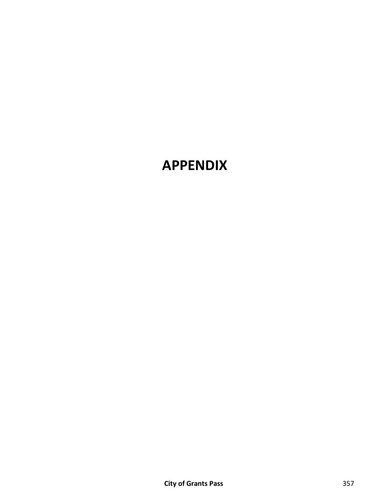# **APPENDIX**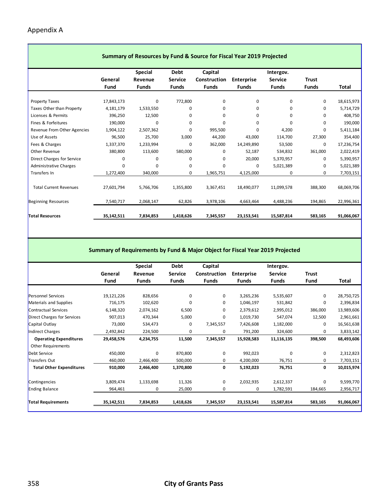$\mathcal{L}(\mathcal{A})$ 

| Summary of Resources by Fund & Source for Fiscal Year 2019 Projected |            |                |                |              |                   |                |              |            |  |  |  |
|----------------------------------------------------------------------|------------|----------------|----------------|--------------|-------------------|----------------|--------------|------------|--|--|--|
|                                                                      |            | <b>Special</b> | Debt           | Capital      |                   | Intergov.      |              |            |  |  |  |
|                                                                      | General    | Revenue        | <b>Service</b> | Construction | <b>Enterprise</b> | <b>Service</b> | <b>Trust</b> |            |  |  |  |
|                                                                      | Fund       | <b>Funds</b>   | <b>Funds</b>   | <b>Funds</b> | <b>Funds</b>      | <b>Funds</b>   | <b>Funds</b> | Total      |  |  |  |
|                                                                      |            |                |                |              |                   |                |              |            |  |  |  |
| <b>Property Taxes</b>                                                | 17,843,173 | 0              | 772,800        | 0            | $\mathbf 0$       | 0              | 0            | 18,615,973 |  |  |  |
| Taxes Other than Property                                            | 4,181,179  | 1,533,550      | 0              | 0            | 0                 | 0              | 0            | 5,714,729  |  |  |  |
| Licenses & Permits                                                   | 396,250    | 12,500         | 0              | 0            | 0                 | 0              | 0            | 408,750    |  |  |  |
| Fines & Forfeitures                                                  | 190,000    | 0              | 0              | 0            | 0                 | 0              | 0            | 190,000    |  |  |  |
| Revenue From Other Agencies                                          | 1,904,122  | 2,507,362      | 0              | 995,500      | $\Omega$          | 4,200          | 0            | 5,411,184  |  |  |  |
| Use of Assets                                                        | 96,500     | 25,700         | 3,000          | 44,200       | 43,000            | 114,700        | 27,300       | 354,400    |  |  |  |
| Fees & Charges                                                       | 1,337,370  | 1,233,994      | 0              | 362,000      | 14,249,890        | 53,500         | 0            | 17,236,754 |  |  |  |
| Other Revenue                                                        | 380,800    | 113,600        | 580,000        | 0            | 52,187            | 534,832        | 361,000      | 2,022,419  |  |  |  |
| Direct Charges for Service                                           | 0          | 0              | 0              | 0            | 20,000            | 5,370,957      | 0            | 5,390,957  |  |  |  |
| <b>Administrative Charges</b>                                        | $\Omega$   | 0              | 0              | $\Omega$     | 0                 | 5,021,389      | 0            | 5,021,389  |  |  |  |
| Transfers In                                                         | 1,272,400  | 340,000        | 0              | 1,965,751    | 4,125,000         | 0              | 0            | 7,703,151  |  |  |  |
|                                                                      |            |                |                |              |                   |                |              |            |  |  |  |
| <b>Total Current Revenues</b>                                        | 27,601,794 | 5,766,706      | 1,355,800      | 3,367,451    | 18,490,077        | 11,099,578     | 388,300      | 68,069,706 |  |  |  |
| <b>Beginning Resources</b>                                           | 7,540,717  | 2,068,147      | 62,826         | 3,978,106    | 4,663,464         | 4,488,236      | 194,865      | 22,996,361 |  |  |  |
| <b>Total Resources</b>                                               | 35,142,511 | 7,834,853      | 1,418,626      | 7,345,557    | 23,153,541        | 15,587,814     | 583,165      | 91,066,067 |  |  |  |

#### **Summary of Requirements by Fund & Major Object for Fiscal Year 2019 Projected**

|                                 |            | <b>Special</b> | Debt           | Capital      |                   | Intergov.      |              |            |
|---------------------------------|------------|----------------|----------------|--------------|-------------------|----------------|--------------|------------|
|                                 | General    | Revenue        | <b>Service</b> | Construction | <b>Enterprise</b> | <b>Service</b> | <b>Trust</b> |            |
|                                 | Fund       | <b>Funds</b>   | <b>Funds</b>   | <b>Funds</b> | <b>Funds</b>      | <b>Funds</b>   | <b>Fund</b>  | Total      |
|                                 |            |                |                |              |                   |                |              |            |
| <b>Personnel Services</b>       | 19,121,226 | 828,656        | 0              | 0            | 3,265,236         | 5,535,607      | 0            | 28,750,725 |
| Materials and Supplies          | 716,175    | 102,620        | 0              | 0            | 1,046,197         | 531,842        | 0            | 2,396,834  |
| <b>Contractual Services</b>     | 6,148,320  | 2,074,162      | 6,500          | 0            | 2,379,612         | 2,995,012      | 386,000      | 13,989,606 |
| Direct Charges for Services     | 907,013    | 470,344        | 5,000          | 0            | 1,019,730         | 547,074        | 12,500       | 2,961,661  |
| Capital Outlay                  | 73,000     | 534,473        | 0              | 7,345,557    | 7,426,608         | 1,182,000      | 0            | 16,561,638 |
| <b>Indirect Charges</b>         | 2,492,842  | 224,500        | 0              | 0            | 791,200           | 324,600        | 0            | 3,833,142  |
| <b>Operating Expenditures</b>   | 29,458,576 | 4,234,755      | 11,500         | 7,345,557    | 15,928,583        | 11,116,135     | 398,500      | 68,493,606 |
| <b>Other Requirements</b>       |            |                |                |              |                   |                |              |            |
| Debt Service                    | 450,000    | $\Omega$       | 870,800        | 0            | 992,023           | $\Omega$       | 0            | 2,312,823  |
| <b>Transfers Out</b>            | 460,000    | 2,466,400      | 500,000        | 0            | 4,200,000         | 76,751         | 0            | 7,703,151  |
| <b>Total Other Expenditures</b> | 910,000    | 2,466,400      | 1,370,800      | 0            | 5,192,023         | 76,751         | 0            | 10,015,974 |
| Contingencies                   | 3,809,474  | 1,133,698      | 11,326         | 0            | 2,032,935         | 2,612,337      | 0            | 9,599,770  |
| <b>Ending Balance</b>           | 964,461    | 0              | 25,000         | 0            | 0                 | 1,782,591      | 184,665      | 2,956,717  |
| <b>Total Requirements</b>       | 35,142,511 | 7,834,853      | 1,418,626      | 7,345,557    | 23,153,541        | 15,587,814     | 583,165      | 91,066,067 |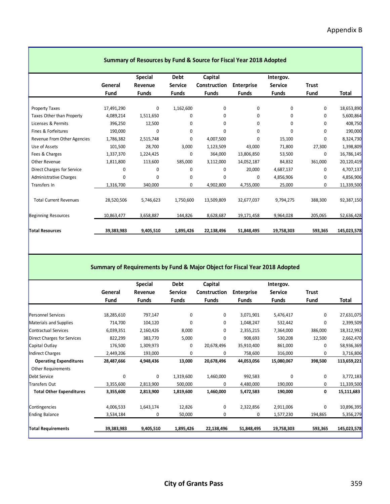٦

| Summary of Resources by Fund & Source for Fiscal Year 2018 Adopted |            |                |                |              |                   |                |              |              |  |  |  |
|--------------------------------------------------------------------|------------|----------------|----------------|--------------|-------------------|----------------|--------------|--------------|--|--|--|
|                                                                    |            | <b>Special</b> | Debt           | Capital      |                   | Intergov.      |              |              |  |  |  |
|                                                                    | General    | Revenue        | <b>Service</b> | Construction | <b>Enterprise</b> | <b>Service</b> | <b>Trust</b> |              |  |  |  |
|                                                                    | Fund       | <b>Funds</b>   | <b>Funds</b>   | <b>Funds</b> | <b>Funds</b>      | <b>Funds</b>   | <b>Fund</b>  | <b>Total</b> |  |  |  |
|                                                                    |            |                |                |              |                   |                |              |              |  |  |  |
| <b>Property Taxes</b>                                              | 17,491,290 | $\mathbf 0$    | 1,162,600      | $\mathbf 0$  | $\mathbf 0$       | $\Omega$       | 0            | 18,653,890   |  |  |  |
| Taxes Other than Property                                          | 4,089,214  | 1,511,650      | 0              | 0            | $\mathbf 0$       | 0              | 0            | 5,600,864    |  |  |  |
| Licenses & Permits                                                 | 396,250    | 12,500         | $\mathbf 0$    | $\Omega$     | 0                 | $\Omega$       | 0            | 408,750      |  |  |  |
| Fines & Forfeitures                                                | 190,000    | $\mathbf 0$    | $\mathbf 0$    | $\Omega$     | $\mathbf 0$       | $\Omega$       | 0            | 190,000      |  |  |  |
| Revenue From Other Agencies                                        | 1,786,382  | 2,515,748      | 0              | 4,007,500    | $\Omega$          | 15,100         | 0            | 8,324,730    |  |  |  |
| Use of Assets                                                      | 101,500    | 28,700         | 3,000          | 1,123,509    | 43,000            | 71,800         | 27,300       | 1,398,809    |  |  |  |
| Fees & Charges                                                     | 1,337,370  | 1,224,425      | $\mathbf 0$    | 364,000      | 13,806,850        | 53,500         | 0            | 16,786,145   |  |  |  |
| Other Revenue                                                      | 1,811,800  | 113,600        | 585,000        | 3,112,000    | 14,052,187        | 84,832         | 361,000      | 20,120,419   |  |  |  |
| Direct Charges for Service                                         | 0          | $\mathbf 0$    | 0              | $\Omega$     | 20,000            | 4,687,137      | 0            | 4,707,137    |  |  |  |
| <b>Administrative Charges</b>                                      | 0          | $\Omega$       | $\mathbf 0$    | $\Omega$     | $\mathbf 0$       | 4,856,906      | 0            | 4,856,906    |  |  |  |
| Transfers In                                                       | 1,316,700  | 340,000        | 0              | 4,902,800    | 4,755,000         | 25,000         | 0            | 11,339,500   |  |  |  |
| <b>Total Current Revenues</b>                                      | 28,520,506 | 5,746,623      | 1,750,600      | 13,509,809   | 32,677,037        | 9,794,275      | 388,300      | 92,387,150   |  |  |  |
| <b>Beginning Resources</b>                                         | 10,863,477 | 3,658,887      | 144,826        | 8,628,687    | 19,171,458        | 9,964,028      | 205,065      | 52,636,428   |  |  |  |
| <b>Total Resources</b>                                             | 39,383,983 | 9,405,510      | 1,895,426      | 22,138,496   | 51,848,495        | 19,758,303     | 593,365      | 145,023,578  |  |  |  |

#### **Summary of Requirements by Fund & Major Object for Fiscal Year 2018 Adopted**

|                                 |            | <b>Special</b> | Debt           | Capital      |                   | Intergov.      |              |             |
|---------------------------------|------------|----------------|----------------|--------------|-------------------|----------------|--------------|-------------|
|                                 | General    | Revenue        | <b>Service</b> | Construction | <b>Enterprise</b> | <b>Service</b> | <b>Trust</b> |             |
|                                 | Fund       | <b>Funds</b>   | <b>Funds</b>   | <b>Funds</b> | <b>Funds</b>      | <b>Funds</b>   | Fund         | Total       |
|                                 |            |                |                |              |                   |                |              |             |
| Personnel Services              | 18,285,610 | 797,147        | 0              | 0            | 3,071,901         | 5,476,417      | $\mathbf{0}$ | 27,631,075  |
| Materials and Supplies          | 714,700    | 104,120        | 0              | 0            | 1,048,247         | 532,442        | 0            | 2,399,509   |
| Contractual Services            | 6,039,351  | 2,160,426      | 8,000          | 0            | 2,355,215         | 7,364,000      | 386,000      | 18,312,992  |
| Direct Charges for Services     | 822,299    | 383,770        | 5,000          | 0            | 908,693           | 530,208        | 12,500       | 2,662,470   |
| Capital Outlay                  | 176,500    | 1,309,973      | 0              | 20,678,496   | 35,910,400        | 861,000        | 0            | 58,936,369  |
| Indirect Charges                | 2,449,206  | 193,000        | 0              | 0            | 758,600           | 316,000        | 0            | 3,716,806   |
| <b>Operating Expenditures</b>   | 28,487,666 | 4,948,436      | 13,000         | 20,678,496   | 44,053,056        | 15,080,067     | 398,500      | 113,659,221 |
| <b>Other Requirements</b>       |            |                |                |              |                   |                |              |             |
| Debt Service                    | 0          | $\Omega$       | 1,319,600      | 1,460,000    | 992,583           | $\Omega$       | $\mathbf{0}$ | 3,772,183   |
| Transfers Out                   | 3,355,600  | 2,813,900      | 500,000        | 0            | 4,480,000         | 190,000        | 0            | 11,339,500  |
| <b>Total Other Expenditures</b> | 3,355,600  | 2,813,900      | 1,819,600      | 1,460,000    | 5,472,583         | 190,000        | 0            | 15,111,683  |
| Contingencies                   | 4,006,533  | 1,643,174      | 12,826         | 0            | 2,322,856         | 2,911,006      | 0            | 10,896,395  |
| <b>Ending Balance</b>           | 3,534,184  | 0              | 50,000         | 0            | 0                 | 1,577,230      | 194,865      | 5,356,279   |
| <b>Total Requirements</b>       | 39,383,983 | 9,405,510      | 1,895,426      | 22,138,496   | 51,848,495        | 19,758,303     | 593,365      | 145,023,578 |
|                                 |            |                |                |              |                   |                |              |             |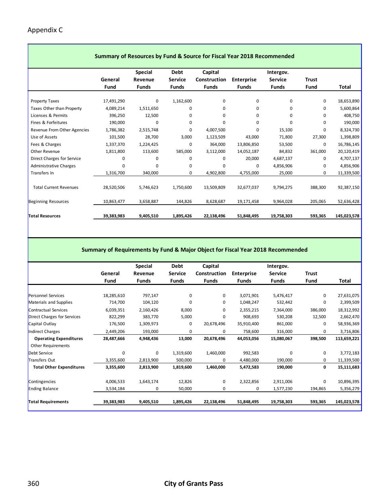Г

| Summary of Resources by Fund & Source for Fiscal Year 2018 Recommended |            |                           |                               |                         |                   |                             |              |              |  |  |  |
|------------------------------------------------------------------------|------------|---------------------------|-------------------------------|-------------------------|-------------------|-----------------------------|--------------|--------------|--|--|--|
|                                                                        | General    | <b>Special</b><br>Revenue | <b>Debt</b><br><b>Service</b> | Capital<br>Construction | <b>Enterprise</b> | Intergov.<br><b>Service</b> | <b>Trust</b> |              |  |  |  |
|                                                                        | Fund       | <b>Funds</b>              | <b>Funds</b>                  | <b>Funds</b>            | <b>Funds</b>      | <b>Funds</b>                | Fund         | <b>Total</b> |  |  |  |
| <b>Property Taxes</b>                                                  | 17,491,290 | 0                         | 1,162,600                     | 0                       | 0                 | 0                           | 0            | 18,653,890   |  |  |  |
| Taxes Other than Property                                              | 4,089,214  | 1,511,650                 | 0                             | 0                       | 0                 | 0                           | 0            | 5,600,864    |  |  |  |
| Licenses & Permits                                                     | 396,250    | 12,500                    | 0                             | 0                       | 0                 | 0                           | 0            | 408,750      |  |  |  |
| Fines & Forfeitures                                                    | 190,000    | $\Omega$                  | 0                             | 0                       | 0                 | 0                           | 0            | 190,000      |  |  |  |
| Revenue From Other Agencies                                            | 1,786,382  | 2,515,748                 | 0                             | 4,007,500               | 0                 | 15,100                      | 0            | 8,324,730    |  |  |  |
| Use of Assets                                                          | 101,500    | 28,700                    | 3,000                         | 1,123,509               | 43,000            | 71,800                      | 27,300       | 1,398,809    |  |  |  |
| Fees & Charges                                                         | 1,337,370  | 1,224,425                 | 0                             | 364,000                 | 13,806,850        | 53,500                      | 0            | 16,786,145   |  |  |  |
| Other Revenue                                                          | 1,811,800  | 113,600                   | 585,000                       | 3,112,000               | 14,052,187        | 84,832                      | 361,000      | 20,120,419   |  |  |  |
| Direct Charges for Service                                             | 0          | 0                         | 0                             | 0                       | 20,000            | 4,687,137                   | 0            | 4,707,137    |  |  |  |
| <b>Administrative Charges</b>                                          | $\Omega$   | $\Omega$                  | 0                             | 0                       | 0                 | 4,856,906                   | 0            | 4,856,906    |  |  |  |
| Transfers In                                                           | 1,316,700  | 340,000                   | 0                             | 4,902,800               | 4,755,000         | 25,000                      | 0            | 11,339,500   |  |  |  |
|                                                                        |            |                           |                               |                         |                   |                             |              |              |  |  |  |
| <b>Total Current Revenues</b>                                          | 28,520,506 | 5,746,623                 | 1,750,600                     | 13,509,809              | 32,677,037        | 9,794,275                   | 388,300      | 92,387,150   |  |  |  |
| <b>Beginning Resources</b>                                             | 10,863,477 | 3,658,887                 | 144,826                       | 8,628,687               | 19,171,458        | 9,964,028                   | 205,065      | 52,636,428   |  |  |  |
| <b>Total Resources</b>                                                 | 39,383,983 | 9,405,510                 | 1,895,426                     | 22,138,496              | 51,848,495        | 19,758,303                  | 593,365      | 145,023,578  |  |  |  |

#### **Summary of Requirements by Fund & Major Object for Fiscal Year 2018 Recommended**

|                                 |            | <b>Special</b> | Debt           | Capital      |                   | Intergov.      |              |             |
|---------------------------------|------------|----------------|----------------|--------------|-------------------|----------------|--------------|-------------|
|                                 | General    | Revenue        | <b>Service</b> | Construction | <b>Enterprise</b> | <b>Service</b> | <b>Trust</b> |             |
|                                 | Fund       | <b>Funds</b>   | <b>Funds</b>   | <b>Funds</b> | <b>Funds</b>      | <b>Funds</b>   | Fund         | Total       |
|                                 |            |                |                |              |                   |                |              |             |
| <b>Personnel Services</b>       | 18,285,610 | 797,147        | 0              | 0            | 3,071,901         | 5,476,417      | 0            | 27,631,075  |
| Materials and Supplies          | 714,700    | 104,120        | 0              | 0            | 1,048,247         | 532,442        | 0            | 2,399,509   |
| Contractual Services            | 6,039,351  | 2,160,426      | 8,000          | 0            | 2,355,215         | 7,364,000      | 386,000      | 18,312,992  |
| Direct Charges for Services     | 822,299    | 383,770        | 5,000          | 0            | 908,693           | 530,208        | 12,500       | 2,662,470   |
| Capital Outlay                  | 176,500    | 1,309,973      | $\mathbf 0$    | 20,678,496   | 35,910,400        | 861,000        | 0            | 58,936,369  |
| <b>Indirect Charges</b>         | 2,449,206  | 193,000        | 0              | 0            | 758,600           | 316,000        | 0            | 3,716,806   |
| <b>Operating Expenditures</b>   | 28,487,666 | 4,948,436      | 13,000         | 20,678,496   | 44,053,056        | 15,080,067     | 398,500      | 113,659,221 |
| <b>Other Requirements</b>       |            |                |                |              |                   |                |              |             |
| <b>Debt Service</b>             | $\Omega$   | $\Omega$       | 1,319,600      | 1,460,000    | 992,583           | $\Omega$       | 0            | 3,772,183   |
| Transfers Out                   | 3,355,600  | 2,813,900      | 500,000        | 0            | 4,480,000         | 190,000        | 0            | 11,339,500  |
| <b>Total Other Expenditures</b> | 3,355,600  | 2,813,900      | 1,819,600      | 1,460,000    | 5,472,583         | 190,000        | 0            | 15,111,683  |
| Contingencies                   | 4,006,533  | 1,643,174      | 12,826         | 0            | 2,322,856         | 2,911,006      | 0            | 10,896,395  |
| <b>Ending Balance</b>           | 3,534,184  | 0              | 50,000         | 0            | 0                 | 1,577,230      | 194,865      | 5,356,279   |
| <b>Total Requirements</b>       | 39,383,983 | 9,405,510      | 1,895,426      | 22,138,496   | 51,848,495        | 19,758,303     | 593,365      | 145,023,578 |
|                                 |            |                |                |              |                   |                |              |             |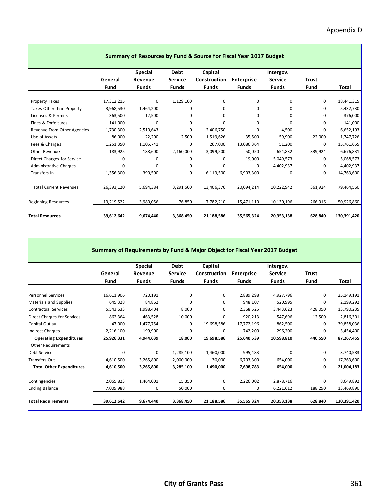|                               | Summary of Resources by Fund & Source for Fiscal Year 2017 Budget |                                           |                                        |                                         |                                   |                                             |               |             |  |  |  |  |
|-------------------------------|-------------------------------------------------------------------|-------------------------------------------|----------------------------------------|-----------------------------------------|-----------------------------------|---------------------------------------------|---------------|-------------|--|--|--|--|
|                               | General<br>Fund                                                   | <b>Special</b><br>Revenue<br><b>Funds</b> | Debt<br><b>Service</b><br><b>Funds</b> | Capital<br>Construction<br><b>Funds</b> | <b>Enterprise</b><br><b>Funds</b> | Intergov.<br><b>Service</b><br><b>Funds</b> | Trust<br>Fund | Total       |  |  |  |  |
|                               |                                                                   |                                           |                                        |                                         |                                   |                                             |               |             |  |  |  |  |
| Property Taxes                | 17,312,215                                                        | 0                                         | 1,129,100                              | 0                                       | 0                                 | 0                                           | 0             | 18,441,315  |  |  |  |  |
| Taxes Other than Property     | 3,968,530                                                         | 1,464,200                                 | $\Omega$                               | 0                                       | <sup>0</sup>                      | 0                                           | $\Omega$      | 5,432,730   |  |  |  |  |
| Licenses & Permits            | 363,500                                                           | 12,500                                    | 0                                      | 0                                       | 0                                 | 0                                           | $\Omega$      | 376,000     |  |  |  |  |
| Fines & Forfeitures           | 141,000                                                           | 0                                         | 0                                      | 0                                       | <sup>0</sup>                      | <sup>0</sup>                                | 0             | 141,000     |  |  |  |  |
| Revenue From Other Agencies   | 1,730,300                                                         | 2,510,643                                 | 0                                      | 2,406,750                               | $\Omega$                          | 4,500                                       | $\Omega$      | 6,652,193   |  |  |  |  |
| Use of Assets                 | 86,000                                                            | 22,200                                    | 2,500                                  | 1,519,626                               | 35,500                            | 59,900                                      | 22,000        | 1,747,726   |  |  |  |  |
| Fees & Charges                | 1,251,350                                                         | 1,105,741                                 | 0                                      | 267,000                                 | 13,086,364                        | 51,200                                      | 0             | 15,761,655  |  |  |  |  |
| Other Revenue                 | 183,925                                                           | 188,600                                   | 2,160,000                              | 3,099,500                               | 50,050                            | 654,832                                     | 339,924       | 6,676,831   |  |  |  |  |
| Direct Charges for Service    | 0                                                                 | 0                                         | 0                                      | 0                                       | 19,000                            | 5,049,573                                   | 0             | 5,068,573   |  |  |  |  |
| <b>Administrative Charges</b> | $\Omega$                                                          | 0                                         | 0                                      | 0                                       | $\Omega$                          | 4,402,937                                   | 0             | 4,402,937   |  |  |  |  |
| Transfers In                  | 1,356,300                                                         | 390,500                                   | 0                                      | 6,113,500                               | 6,903,300                         | 0                                           | 0             | 14,763,600  |  |  |  |  |
|                               |                                                                   |                                           |                                        |                                         |                                   |                                             |               |             |  |  |  |  |
| <b>Total Current Revenues</b> | 26,393,120                                                        | 5,694,384                                 | 3,291,600                              | 13,406,376                              | 20,094,214                        | 10,222,942                                  | 361,924       | 79,464,560  |  |  |  |  |
| <b>Beginning Resources</b>    | 13,219,522                                                        | 3,980,056                                 | 76,850                                 | 7,782,210                               | 15,471,110                        | 10,130,196                                  | 266,916       | 50,926,860  |  |  |  |  |
| <b>Total Resources</b>        | 39,612,642                                                        | 9,674,440                                 | 3,368,450                              | 21,188,586                              | 35,565,324                        | 20,353,138                                  | 628,840       | 130,391,420 |  |  |  |  |

#### **Summary of Requirements by Fund & Major Object for Fiscal Year 2017 Budget**

|                                 |            | <b>Special</b> | Debt           | Capital      |                   | Intergov.      |             |             |
|---------------------------------|------------|----------------|----------------|--------------|-------------------|----------------|-------------|-------------|
|                                 | General    | Revenue        | <b>Service</b> | Construction | <b>Enterprise</b> | <b>Service</b> | Trust       |             |
|                                 | Fund       | <b>Funds</b>   | <b>Funds</b>   | <b>Funds</b> | <b>Funds</b>      | Funds          | Fund        | Total       |
|                                 |            |                |                |              |                   |                |             |             |
| Personnel Services              | 16,611,906 | 720,191        | 0              | 0            | 2,889,298         | 4,927,796      | $\mathbf 0$ | 25,149,191  |
| Materials and Supplies          | 645,328    | 84,862         | 0              | 0            | 948,107           | 520,995        | 0           | 2,199,292   |
| Contractual Services            | 5,543,633  | 1,998,404      | 8,000          | 0            | 2,368,525         | 3,443,623      | 428,050     | 13,790,235  |
| Direct Charges for Services     | 862,364    | 463,528        | 10,000         | 0            | 920,213           | 547,696        | 12,500      | 2,816,301   |
| Capital Outlay                  | 47,000     | 1,477,754      | 0              | 19,698,586   | 17,772,196        | 862,500        | 0           | 39,858,036  |
| Indirect Charges                | 2,216,100  | 199,900        | 0              | 0            | 742,200           | 296,200        | 0           | 3,454,400   |
| <b>Operating Expenditures</b>   | 25,926,331 | 4,944,639      | 18,000         | 19,698,586   | 25,640,539        | 10,598,810     | 440,550     | 87,267,455  |
| <b>Other Requirements</b>       |            |                |                |              |                   |                |             |             |
| <b>Debt Service</b>             | $\Omega$   | 0              | 1,285,100      | 1,460,000    | 995,483           | 0              | 0           | 3,740,583   |
| Transfers Out                   | 4,610,500  | 3,265,800      | 2,000,000      | 30,000       | 6,703,300         | 654,000        | 0           | 17,263,600  |
| <b>Total Other Expenditures</b> | 4,610,500  | 3,265,800      | 3,285,100      | 1,490,000    | 7,698,783         | 654,000        | 0           | 21,004,183  |
| Contingencies                   | 2,065,823  | 1,464,001      | 15,350         | 0            | 2,226,002         | 2,878,716      | 0           | 8,649,892   |
| <b>Ending Balance</b>           | 7,009,988  | 0              | 50,000         | 0            | 0                 | 6,221,612      | 188,290     | 13,469,890  |
| <b>Total Requirements</b>       | 39,612,642 | 9,674,440      | 3,368,450      | 21,188,586   | 35,565,324        | 20,353,138     | 628,840     | 130,391,420 |
|                                 |            |                |                |              |                   |                |             |             |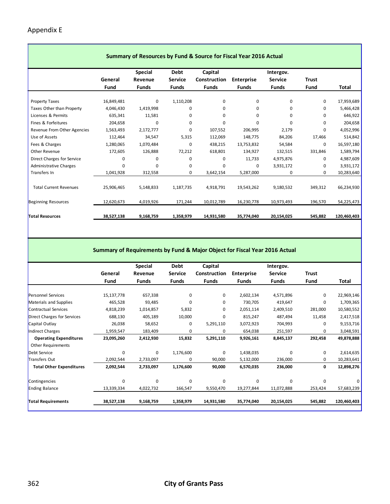$\mathcal{L}(\mathcal{A})$ 

| Summary of Resources by Fund & Source for Fiscal Year 2016 Actual |            |                |              |              |                   |                |              |              |  |  |  |
|-------------------------------------------------------------------|------------|----------------|--------------|--------------|-------------------|----------------|--------------|--------------|--|--|--|
|                                                                   |            | <b>Special</b> | <b>Debt</b>  | Capital      |                   | Intergov.      |              |              |  |  |  |
|                                                                   | General    | Revenue        | Service      | Construction | <b>Enterprise</b> | <b>Service</b> | <b>Trust</b> |              |  |  |  |
|                                                                   | Fund       | <b>Funds</b>   | <b>Funds</b> | <b>Funds</b> | <b>Funds</b>      | <b>Funds</b>   | Fund         | <b>Total</b> |  |  |  |
|                                                                   |            |                |              |              |                   |                |              |              |  |  |  |
| <b>Property Taxes</b>                                             | 16,849,481 | 0              | 1,110,208    | 0            | 0                 | 0              | 0            | 17,959,689   |  |  |  |
| Taxes Other than Property                                         | 4,046,430  | 1,419,998      | 0            | $\Omega$     | 0                 | 0              | 0            | 5,466,428    |  |  |  |
| Licenses & Permits                                                | 635,341    | 11,581         | 0            | 0            | 0                 | $\Omega$       | 0            | 646,922      |  |  |  |
| Fines & Forfeitures                                               | 204,658    | $\Omega$       | 0            | $\Omega$     | 0                 | 0              | 0            | 204,658      |  |  |  |
| Revenue From Other Agencies                                       | 1,563,493  | 2,172,777      | 0            | 107,552      | 206,995           | 2,179          | 0            | 4,052,996    |  |  |  |
| Use of Assets                                                     | 112,464    | 34,547         | 5,315        | 112,069      | 148,775           | 84,206         | 17,466       | 514,842      |  |  |  |
| Fees & Charges                                                    | 1,280,065  | 1,070,484      | 0            | 438,215      | 13,753,832        | 54,584         | 0            | 16,597,180   |  |  |  |
| Other Revenue                                                     | 172,605    | 126,888        | 72,212       | 618,801      | 134,927           | 132,515        | 331,846      | 1,589,794    |  |  |  |
| Direct Charges for Service                                        | 0          | 0              | 0            | 0            | 11,733            | 4,975,876      | 0            | 4,987,609    |  |  |  |
| <b>Administrative Charges</b>                                     | $\Omega$   | 0              | 0            | $\Omega$     | 0                 | 3,931,172      | 0            | 3,931,172    |  |  |  |
| Transfers In                                                      | 1,041,928  | 312,558        | 0            | 3,642,154    | 5,287,000         | 0              | 0            | 10,283,640   |  |  |  |
|                                                                   |            |                |              |              |                   |                |              |              |  |  |  |
| <b>Total Current Revenues</b>                                     | 25,906,465 | 5,148,833      | 1,187,735    | 4,918,791    | 19,543,262        | 9,180,532      | 349,312      | 66,234,930   |  |  |  |
| <b>Beginning Resources</b>                                        | 12,620,673 | 4,019,926      | 171,244      | 10,012,789   | 16,230,778        | 10,973,493     | 196,570      | 54,225,473   |  |  |  |
| <b>Total Resources</b>                                            | 38,527,138 | 9,168,759      | 1,358,979    | 14,931,580   | 35,774,040        | 20,154,025     | 545,882      | 120,460,403  |  |  |  |

#### **Summary of Requirements by Fund & Major Object for Fiscal Year 2016 Actual**

|                                 |            | <b>Special</b> | Debt           | Capital      |                   | Intergov.      |              |             |
|---------------------------------|------------|----------------|----------------|--------------|-------------------|----------------|--------------|-------------|
|                                 | General    | Revenue        | <b>Service</b> | Construction | <b>Enterprise</b> | <b>Service</b> | <b>Trust</b> |             |
|                                 | Fund       | <b>Funds</b>   | <b>Funds</b>   | <b>Funds</b> | <b>Funds</b>      | <b>Funds</b>   | Fund         | Total       |
|                                 |            |                |                |              |                   |                |              |             |
| Personnel Services              | 15,137,778 | 657,338        | 0              | 0            | 2,602,134         | 4,571,896      | 0            | 22,969,146  |
| Materials and Supplies          | 465,528    | 93,485         | 0              | 0            | 730,705           | 419,647        | 0            | 1,709,365   |
| Contractual Services            | 4,818,239  | 1,014,857      | 5,832          | 0            | 2,051,114         | 2,409,510      | 281,000      | 10,580,552  |
| Direct Charges for Services     | 688,130    | 405,189        | 10,000         | 0            | 815,247           | 487,494        | 11,458       | 2,417,518   |
| Capital Outlay                  | 26,038     | 58,652         | 0              | 5,291,110    | 3,072,923         | 704,993        | 0            | 9,153,716   |
| <b>Indirect Charges</b>         | 1,959,547  | 183,409        | 0              | 0            | 654,038           | 251,597        | 0            | 3,048,591   |
| <b>Operating Expenditures</b>   | 23,095,260 | 2,412,930      | 15,832         | 5,291,110    | 9,926,161         | 8,845,137      | 292,458      | 49,878,888  |
| <b>Other Requirements</b>       |            |                |                |              |                   |                |              |             |
| Debt Service                    | $\Omega$   | $\Omega$       | 1,176,600      | $\Omega$     | 1,438,035         | $\Omega$       | 0            | 2,614,635   |
| Transfers Out                   | 2,092,544  | 2,733,097      | 0              | 90,000       | 5,132,000         | 236,000        | 0            | 10,283,641  |
| <b>Total Other Expenditures</b> | 2,092,544  | 2,733,097      | 1,176,600      | 90,000       | 6,570,035         | 236,000        | 0            | 12,898,276  |
| Contingencies                   | $\Omega$   | $\Omega$       | 0              | 0            | $\Omega$          | $\Omega$       | $\Omega$     |             |
| <b>Ending Balance</b>           | 13,339,334 | 4,022,732      | 166,547        | 9,550,470    | 19,277,844        | 11,072,888     | 253,424      | 57,683,239  |
| <b>Total Requirements</b>       | 38,527,138 | 9,168,759      | 1,358,979      | 14,931,580   | 35,774,040        | 20,154,025     | 545,882      | 120,460,403 |
|                                 |            |                |                |              |                   |                |              |             |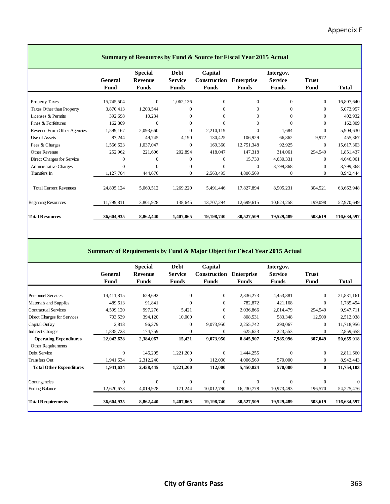|                               | <b>Summary of Resources by Fund &amp; Source for Fiscal Year 2015 Actual</b> |                         |                         |                       |                            |                         |               |              |  |  |
|-------------------------------|------------------------------------------------------------------------------|-------------------------|-------------------------|-----------------------|----------------------------|-------------------------|---------------|--------------|--|--|
|                               |                                                                              | <b>Special</b>          | <b>Debt</b>             | Capital               |                            | Intergov.               |               |              |  |  |
|                               | General<br>Fund                                                              | Revenue<br><b>Funds</b> | <b>Service</b><br>Funds | Construction<br>Funds | <b>Enterprise</b><br>Funds | <b>Service</b><br>Funds | Trust<br>Fund | <b>Total</b> |  |  |
| <b>Property Taxes</b>         | 15,745,504                                                                   | $\mathbf{0}$            | 1,062,136               | $\boldsymbol{0}$      | $\mathbf{0}$               | $\overline{0}$          | $\theta$      | 16,807,640   |  |  |
| Taxes Other than Property     | 3,870,413                                                                    | 1,203,544               | $\Omega$                | $\overline{0}$        | $\Omega$                   | 0                       | $\Omega$      | 5,073,957    |  |  |
| Licenses & Permits            | 392,698                                                                      | 10,234                  | $\Omega$                | $\Omega$              | $\Omega$                   | 0                       | $\Omega$      | 402,932      |  |  |
| Fines & Forfeitures           | 162,809                                                                      | $\Omega$                | $\Omega$                | $\Omega$              | $\Omega$                   | $\Omega$                | $\Omega$      | 162,809      |  |  |
| Revenue From Other Agencies   | 1,599,167                                                                    | 2,093,660               | $\Omega$                | 2,210,119             | $\Omega$                   | 1,684                   | $\Omega$      | 5,904,630    |  |  |
| Use of Assets                 | 87,244                                                                       | 49,745                  | 4,190                   | 130,425               | 106,929                    | 66,862                  | 9,972         | 455,367      |  |  |
| Fees & Charges                | 1,566,623                                                                    | 1,037,047               | $\Omega$                | 169,360               | 12,751,348                 | 92,925                  | $\theta$      | 15,617,303   |  |  |
| Other Revenue                 | 252,962                                                                      | 221,606                 | 202,894                 | 418,047               | 147,318                    | 314,061                 | 294,549       | 1,851,437    |  |  |
| Direct Charges for Service    | $\Omega$                                                                     | $\Omega$                | $\Omega$                | 0                     | 15,730                     | 4,630,331               | $\Omega$      | 4,646,061    |  |  |
| Administrative Charges        | $\Omega$                                                                     | $\Omega$                | $\Omega$                | $\Omega$              | $\Omega$                   | 3,799,368               | $\Omega$      | 3,799,368    |  |  |
| Transfers In                  | 1,127,704                                                                    | 444,676                 | $\mathbf{0}$            | 2,563,495             | 4,806,569                  | 0                       | $\mathbf{0}$  | 8,942,444    |  |  |
| <b>Total Current Revenues</b> | 24,805,124                                                                   | 5,060,512               | 1,269,220               | 5,491,446             | 17,827,894                 | 8,905,231               | 304,521       | 63,663,948   |  |  |
| <b>Beginning Resources</b>    | 11,799,811                                                                   | 3,801,928               | 138,645                 | 13,707,294            | 12,699,615                 | 10,624,258              | 199,098       | 52,970,649   |  |  |
| <b>Total Resources</b>        | 36,604,935                                                                   | 8,862,440               | 1,407,865               | 19,198,740            | 30,527,509                 | 19,529,489              | 503,619       | 116,634,597  |  |  |

#### **Summary of Requirements by Fund & Major Object for Fiscal Year 2015 Actual**

|                                 |            | <b>Special</b> | Debt           | Capital        |                   | Intergov.      |              |             |
|---------------------------------|------------|----------------|----------------|----------------|-------------------|----------------|--------------|-------------|
|                                 | General    | Revenue        | <b>Service</b> | Construction   | <b>Enterprise</b> | <b>Service</b> | Trust        |             |
|                                 | Fund       | <b>Funds</b>   | <b>Funds</b>   | <b>Funds</b>   | <b>Funds</b>      | <b>Funds</b>   | Fund         | Total       |
|                                 |            |                |                |                |                   |                |              |             |
| <b>Personnel Services</b>       | 14,411,815 | 629,692        | $\mathbf{0}$   | $\overline{0}$ | 2,336,273         | 4,453,381      | $\mathbf{0}$ | 21,831,161  |
| Materials and Supplies          | 489,613    | 91,841         | $\mathbf{0}$   | $\mathbf{0}$   | 782,872           | 421,168        | $\mathbf{0}$ | 1,785,494   |
| Contractual Services            | 4,599,120  | 997,276        | 5,421          | $\mathbf{0}$   | 2,036,866         | 2,014,479      | 294,549      | 9,947,711   |
| Direct Charges for Services     | 703,539    | 394,120        | 10,000         | $\Omega$       | 808,531           | 583,348        | 12,500       | 2,512,038   |
| Capital Outlay                  | 2,818      | 96,379         | $\theta$       | 9,073,950      | 2,255,742         | 290,067        | $\mathbf{0}$ | 11,718,956  |
| <b>Indirect Charges</b>         | 1,835,723  | 174,759        | $\mathbf{0}$   | 0              | 625,623           | 223,553        | $\mathbf{0}$ | 2,859,658   |
| <b>Operating Expenditures</b>   | 22,042,628 | 2,384,067      | 15,421         | 9,073,950      | 8,845,907         | 7,985,996      | 307,049      | 50,655,018  |
| Other Requirements              |            |                |                |                |                   |                |              |             |
| Debt Service                    | $\Omega$   | 146,205        | 1,221,200      | $\Omega$       | 1,444,255         | $\Omega$       | $\mathbf{0}$ | 2,811,660   |
| <b>Transfers Out</b>            | 1,941,634  | 2,312,240      | $\mathbf{0}$   | 112,000        | 4,006,569         | 570,000        | $\mathbf{0}$ | 8,942,443   |
| <b>Total Other Expenditures</b> | 1,941,634  | 2,458,445      | 1,221,200      | 112,000        | 5,450,824         | 570,000        | 0            | 11,754,103  |
| Contingencies                   | $\theta$   | $\theta$       | $\Omega$       | $\Omega$       | $\Omega$          | $\Omega$       | $\Omega$     |             |
| <b>Ending Balance</b>           | 12,620,673 | 4,019,928      | 171,244        | 10,012,790     | 16,230,778        | 10,973,493     | 196,570      | 54,225,476  |
| <b>Total Requirements</b>       | 36,604,935 | 8,862,440      | 1,407,865      | 19,198,740     | 30,527,509        | 19,529,489     | 503,619      | 116,634,597 |
|                                 |            |                |                |                |                   |                |              |             |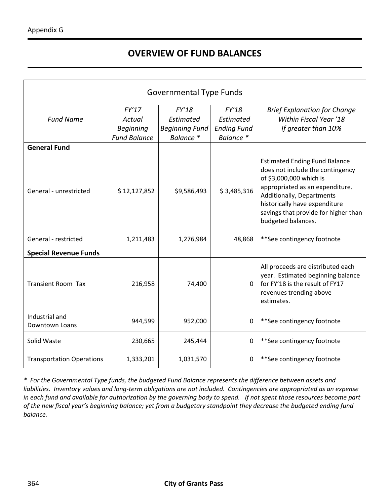# **OVERVIEW OF FUND BALANCES**

| <b>Governmental Type Funds</b>   |                                                            |                                                          |                                                       |                                                                                                                                                                                                                                                                    |  |  |  |
|----------------------------------|------------------------------------------------------------|----------------------------------------------------------|-------------------------------------------------------|--------------------------------------------------------------------------------------------------------------------------------------------------------------------------------------------------------------------------------------------------------------------|--|--|--|
| <b>Fund Name</b>                 | FY'17<br>Actual<br><b>Beginning</b><br><b>Fund Balance</b> | FY'18<br>Estimated<br><b>Beginning Fund</b><br>Balance * | FY'18<br>Estimated<br><b>Ending Fund</b><br>Balance * | <b>Brief Explanation for Change</b><br>Within Fiscal Year '18<br>If greater than 10%                                                                                                                                                                               |  |  |  |
| <b>General Fund</b>              |                                                            |                                                          |                                                       |                                                                                                                                                                                                                                                                    |  |  |  |
| General - unrestricted           | \$12,127,852                                               | \$9,586,493                                              | \$3,485,316                                           | <b>Estimated Ending Fund Balance</b><br>does not include the contingency<br>of \$3,000,000 which is<br>appropriated as an expenditure.<br>Additionally, Departments<br>historically have expenditure<br>savings that provide for higher than<br>budgeted balances. |  |  |  |
| General - restricted             | 1,211,483                                                  | 1,276,984                                                | 48,868                                                | **See contingency footnote                                                                                                                                                                                                                                         |  |  |  |
| <b>Special Revenue Funds</b>     |                                                            |                                                          |                                                       |                                                                                                                                                                                                                                                                    |  |  |  |
| <b>Transient Room Tax</b>        | 216,958                                                    | 74,400                                                   | 0                                                     | All proceeds are distributed each<br>year. Estimated beginning balance<br>for FY'18 is the result of FY17<br>revenues trending above<br>estimates.                                                                                                                 |  |  |  |
| Industrial and<br>Downtown Loans | 944,599                                                    | 952,000                                                  | $\Omega$                                              | **See contingency footnote                                                                                                                                                                                                                                         |  |  |  |
| Solid Waste                      | 230,665                                                    | 245,444                                                  | 0                                                     | **See contingency footnote                                                                                                                                                                                                                                         |  |  |  |
| <b>Transportation Operations</b> | 1,333,201                                                  | 1,031,570                                                | 0                                                     | **See contingency footnote                                                                                                                                                                                                                                         |  |  |  |

*\* For the Governmental Type funds, the budgeted Fund Balance represents the difference between assets and liabilities. Inventory values and long-term obligations are not included. Contingencies are appropriated as an expense in each fund and available for authorization by the governing body to spend. If not spent those resources become part of the new fiscal year's beginning balance; yet from a budgetary standpoint they decrease the budgeted ending fund balance.*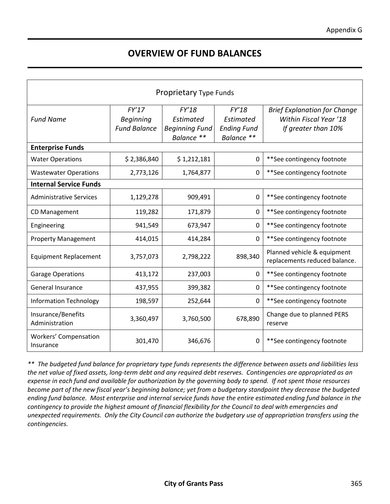### **OVERVIEW OF FUND BALANCES**

| Proprietary Type Funds                    |                                                  |                                                           |                                                        |                                                                                      |  |  |
|-------------------------------------------|--------------------------------------------------|-----------------------------------------------------------|--------------------------------------------------------|--------------------------------------------------------------------------------------|--|--|
| <b>Fund Name</b>                          | FY'17<br><b>Beginning</b><br><b>Fund Balance</b> | FY'18<br>Estimated<br><b>Beginning Fund</b><br>Balance ** | FY'18<br>Estimated<br><b>Ending Fund</b><br>Balance ** | <b>Brief Explanation for Change</b><br>Within Fiscal Year '18<br>If greater than 10% |  |  |
| <b>Enterprise Funds</b>                   |                                                  |                                                           |                                                        |                                                                                      |  |  |
| <b>Water Operations</b>                   | \$2,386,840                                      | \$1,212,181                                               | 0                                                      | **See contingency footnote                                                           |  |  |
| <b>Wastewater Operations</b>              | 2,773,126                                        | 1,764,877                                                 | 0                                                      | **See contingency footnote                                                           |  |  |
| <b>Internal Service Funds</b>             |                                                  |                                                           |                                                        |                                                                                      |  |  |
| <b>Administrative Services</b>            | 1,129,278                                        | 909,491                                                   | 0                                                      | **See contingency footnote                                                           |  |  |
| <b>CD Management</b>                      | 119,282                                          | 171,879                                                   | 0                                                      | **See contingency footnote                                                           |  |  |
| Engineering                               | 941,549                                          | 673,947                                                   | 0                                                      | **See contingency footnote                                                           |  |  |
| <b>Property Management</b>                | 414,015                                          | 414,284                                                   | 0                                                      | **See contingency footnote                                                           |  |  |
| <b>Equipment Replacement</b>              | 3,757,073                                        | 2,798,222                                                 | 898,340                                                | Planned vehicle & equipment<br>replacements reduced balance.                         |  |  |
| <b>Garage Operations</b>                  | 413,172                                          | 237,003                                                   | 0                                                      | **See contingency footnote                                                           |  |  |
| <b>General Insurance</b>                  | 437,955                                          | 399,382                                                   | $\mathbf 0$                                            | **See contingency footnote                                                           |  |  |
| <b>Information Technology</b>             | 198,597                                          | 252,644                                                   | 0                                                      | **See contingency footnote                                                           |  |  |
| Insurance/Benefits<br>Administration      | 3,360,497                                        | 3,760,500                                                 | 678,890                                                | Change due to planned PERS<br>reserve                                                |  |  |
| <b>Workers' Compensation</b><br>Insurance | 301,470                                          | 346,676                                                   | 0                                                      | **See contingency footnote                                                           |  |  |

*\*\* The budgeted fund balance for proprietary type funds represents the difference between assets and liabilities less the net value of fixed assets, long-term debt and any required debt reserves. Contingencies are appropriated as an expense in each fund and available for authorization by the governing body to spend. If not spent those resources become part of the new fiscal year's beginning balance; yet from a budgetary standpoint they decrease the budgeted ending fund balance. Most enterprise and internal service funds have the entire estimated ending fund balance in the contingency to provide the highest amount of financial flexibility for the Council to deal with emergencies and unexpected requirements. Only the City Council can authorize the budgetary use of appropriation transfers using the contingencies.*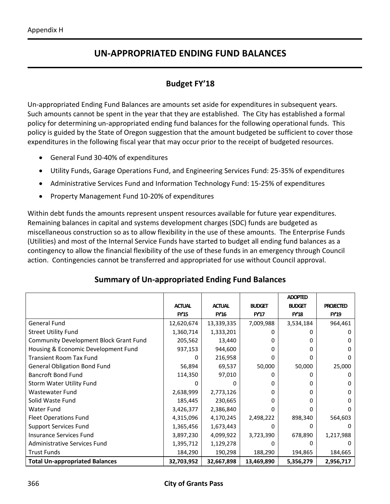## **UN-APPROPRIATED ENDING FUND BALANCES**

#### **Budget FY'18**

Un-appropriated Ending Fund Balances are amounts set aside for expenditures in subsequent years. Such amounts cannot be spent in the year that they are established. The City has established a formal policy for determining un-appropriated ending fund balances for the following operational funds. This policy is guided by the State of Oregon suggestion that the amount budgeted be sufficient to cover those expenditures in the following fiscal year that may occur prior to the receipt of budgeted resources.

- General Fund 30-40% of expenditures
- Utility Funds, Garage Operations Fund, and Engineering Services Fund: 25-35% of expenditures
- Administrative Services Fund and Information Technology Fund: 15-25% of expenditures
- Property Management Fund 10-20% of expenditures

Within debt funds the amounts represent unspent resources available for future year expenditures. Remaining balances in capital and systems development charges (SDC) funds are budgeted as miscellaneous construction so as to allow flexibility in the use of these amounts. The Enterprise Funds (Utilities) and most of the Internal Service Funds have started to budget all ending fund balances as a contingency to allow the financial flexibility of the use of these funds in an emergency through Council action. Contingencies cannot be transferred and appropriated for use without Council approval.

|                                               |               |               |               | <b>ADOPTED</b> |                  |
|-----------------------------------------------|---------------|---------------|---------------|----------------|------------------|
|                                               | <b>ACTUAL</b> | <b>ACTUAL</b> | <b>BUDGET</b> | <b>BUDGET</b>  | <b>PROJECTED</b> |
|                                               | <b>FY'15</b>  | <b>FY'16</b>  | <b>FY'17</b>  | <b>FY'18</b>   | <b>FY'19</b>     |
| <b>General Fund</b>                           | 12,620,674    | 13,339,335    | 7,009,988     | 3,534,184      | 964,461          |
| <b>Street Utility Fund</b>                    | 1,360,714     | 1,333,201     | 0             |                |                  |
| <b>Community Development Block Grant Fund</b> | 205,562       | 13,440        | 0             |                | O                |
| Housing & Economic Development Fund           | 937,153       | 944,600       | 0             |                | 0                |
| <b>Transient Room Tax Fund</b>                |               | 216,958       | 0             |                |                  |
| <b>General Obligation Bond Fund</b>           | 56,894        | 69,537        | 50,000        | 50,000         | 25,000           |
| <b>Bancroft Bond Fund</b>                     | 114,350       | 97,010        | 0             |                | 0                |
| Storm Water Utility Fund                      |               |               | 0             |                | 0                |
| Wastewater Fund                               | 2,638,999     | 2,773,126     | 0             |                | 0                |
| Solid Waste Fund                              | 185,445       | 230,665       | 0             |                | O                |
| Water Fund                                    | 3,426,377     | 2,386,840     | 0             |                | 0                |
| <b>Fleet Operations Fund</b>                  | 4,315,096     | 4,170,245     | 2,498,222     | 898,340        | 564,603          |
| <b>Support Services Fund</b>                  | 1,365,456     | 1,673,443     | 0             |                |                  |
| Insurance Services Fund                       | 3,897,230     | 4,099,922     | 3,723,390     | 678,890        | 1,217,988        |
| Administrative Services Fund                  | 1,395,712     | 1,129,278     | 0             |                |                  |
| <b>Trust Funds</b>                            | 184,290       | 190,298       | 188,290       | 194,865        | 184,665          |
| <b>Total Un-appropriated Balances</b>         | 32,703,952    | 32,667,898    | 13,469,890    | 5,356,279      | 2,956,717        |

#### **Summary of Un-appropriated Ending Fund Balances**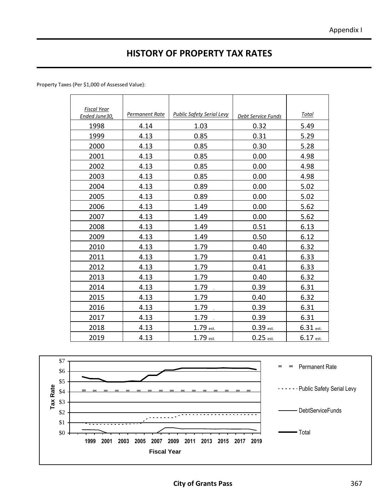# **HISTORY OF PROPERTY TAX RATES**

Property Taxes (Per \$1,000 of Assessed Value):

| <b>Fiscal Year</b><br>Ended June30, | Permanent Rate | <b>Public Safety Serial Levy</b> | Debt Service Funds | <u>Total</u>           |
|-------------------------------------|----------------|----------------------------------|--------------------|------------------------|
| 1998                                | 4.14           | 1.03                             | 0.32               | 5.49                   |
| 1999                                | 4.13           | 0.85                             | 0.31               | 5.29                   |
| 2000                                | 4.13           | 0.85                             | 0.30               | 5.28                   |
| 2001                                | 4.13           | 0.85                             | 0.00               | 4.98                   |
| 2002                                | 4.13           | 0.85                             | 0.00               | 4.98                   |
| 2003                                | 4.13           | 0.85                             | 0.00               | 4.98                   |
| 2004                                | 4.13           | 0.89                             | 0.00               | 5.02                   |
| 2005                                | 4.13           | 0.89                             | 0.00               | 5.02                   |
| 2006                                | 4.13           | 1.49                             | 0.00               | 5.62                   |
| 2007                                | 4.13           | 1.49                             | 0.00               | 5.62                   |
| 2008                                | 4.13           | 1.49                             | 0.51               | 6.13                   |
| 2009                                | 4.13           | 1.49                             | 0.50               | 6.12                   |
| 2010                                | 4.13           | 1.79                             | 0.40               | 6.32                   |
| 2011                                | 4.13           | 1.79                             | 0.41               | 6.33                   |
| 2012                                | 4.13           | 1.79                             | 0.41               | 6.33                   |
| 2013                                | 4.13           | 1.79                             | 0.40               | 6.32                   |
| 2014                                | 4.13           | 1.79                             | 0.39               | 6.31                   |
| 2015                                | 4.13           | 1.79                             | 0.40               | 6.32                   |
| 2016                                | 4.13           | 1.79                             | 0.39               | 6.31                   |
| 2017                                | 4.13           | 1.79                             | 0.39               | 6.31                   |
| 2018                                | 4.13           | 1.79 est.                        | $0.39$ est.        | $6.31$ <sub>est.</sub> |
| 2019                                | 4.13           | 1.79 est.                        | $0.25$ est.        | 6.17 est.              |

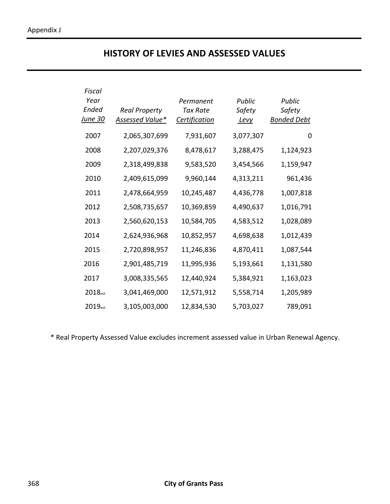### **HISTORY OF LEVIES AND ASSESSED VALUES**

| Fiscal               |                      |                      |             |                    |
|----------------------|----------------------|----------------------|-------------|--------------------|
| Year                 |                      | Permanent            | Public      | Public             |
| Ended                | <b>Real Property</b> | <b>Tax Rate</b>      | Safety      | Safety             |
| <u>June 30</u>       | Assessed Value*      | <b>Certification</b> | <u>Levy</u> | <b>Bonded Debt</b> |
| 2007                 | 2,065,307,699        | 7,931,607            | 3,077,307   | 0                  |
| 2008                 | 2,207,029,376        | 8,478,617            | 3,288,475   | 1,124,923          |
| 2009                 | 2,318,499,838        | 9,583,520            | 3,454,566   | 1,159,947          |
| 2010                 | 2,409,615,099        | 9,960,144            | 4,313,211   | 961,436            |
| 2011                 | 2,478,664,959        | 10,245,487           | 4,436,778   | 1,007,818          |
| 2012                 | 2,508,735,657        | 10,369,859           | 4,490,637   | 1,016,791          |
| 2013                 | 2,560,620,153        | 10,584,705           | 4,583,512   | 1,028,089          |
| 2014                 | 2,624,936,968        | 10,852,957           | 4,698,638   | 1,012,439          |
| 2015                 | 2,720,898,957        | 11,246,836           | 4,870,411   | 1,087,544          |
| 2016                 | 2,901,485,719        | 11,995,936           | 5,193,661   | 1,131,580          |
| 2017                 | 3,008,335,565        | 12,440,924           | 5,384,921   | 1,163,023          |
| 2018 <sub>est.</sub> | 3,041,469,000        | 12,571,912           | 5,558,714   | 1,205,989          |
| 2019 <sub>est.</sub> | 3,105,003,000        | 12,834,530           | 5,703,027   | 789,091            |

\* Real Property Assessed Value excludes increment assessed value in Urban Renewal Agency.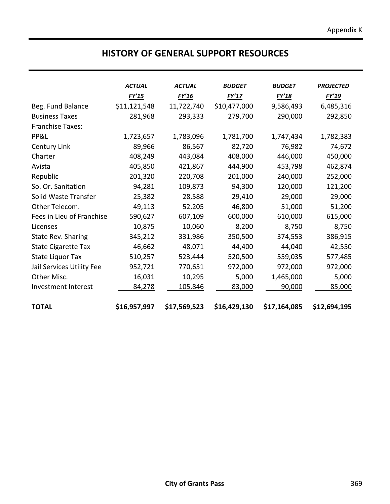#### **HISTORY OF GENERAL SUPPORT RESOURCES**

|                            | <b>ACTUAL</b>       | <b>ACTUAL</b>       | <b>BUDGET</b>       | <b>BUDGET</b>       | <b>PROJECTED</b> |
|----------------------------|---------------------|---------------------|---------------------|---------------------|------------------|
|                            | FY'15               | FY'16               | FY'17               | FY'18               | FY'19            |
| Beg. Fund Balance          | \$11,121,548        | 11,722,740          | \$10,477,000        | 9,586,493           | 6,485,316        |
| <b>Business Taxes</b>      | 281,968             | 293,333             | 279,700             | 290,000             | 292,850          |
| <b>Franchise Taxes:</b>    |                     |                     |                     |                     |                  |
| PP&L                       | 1,723,657           | 1,783,096           | 1,781,700           | 1,747,434           | 1,782,383        |
| Century Link               | 89,966              | 86,567              | 82,720              | 76,982              | 74,672           |
| Charter                    | 408,249             | 443,084             | 408,000             | 446,000             | 450,000          |
| Avista                     | 405,850             | 421,867             | 444,900             | 453,798             | 462,874          |
| Republic                   | 201,320             | 220,708             | 201,000             | 240,000             | 252,000          |
| So. Or. Sanitation         | 94,281              | 109,873             | 94,300              | 120,000             | 121,200          |
| Solid Waste Transfer       | 25,382              | 28,588              | 29,410              | 29,000              | 29,000           |
| Other Telecom.             | 49,113              | 52,205              | 46,800              | 51,000              | 51,200           |
| Fees in Lieu of Franchise  | 590,627             | 607,109             | 600,000             | 610,000             | 615,000          |
| Licenses                   | 10,875              | 10,060              | 8,200               | 8,750               | 8,750            |
| <b>State Rev. Sharing</b>  | 345,212             | 331,986             | 350,500             | 374,553             | 386,915          |
| <b>State Cigarette Tax</b> | 46,662              | 48,071              | 44,400              | 44,040              | 42,550           |
| <b>State Liquor Tax</b>    | 510,257             | 523,444             | 520,500             | 559,035             | 577,485          |
| Jail Services Utility Fee  | 952,721             | 770,651             | 972,000             | 972,000             | 972,000          |
| Other Misc.                | 16,031              | 10,295              | 5,000               | 1,465,000           | 5,000            |
| Investment Interest        | 84,278              | 105,846             | 83,000              | 90,000              | 85,000           |
| <b>TOTAL</b>               | <u>\$16,957,997</u> | <u>\$17,569,523</u> | <u>\$16,429,130</u> | <u>\$17,164,085</u> | \$12,694,195     |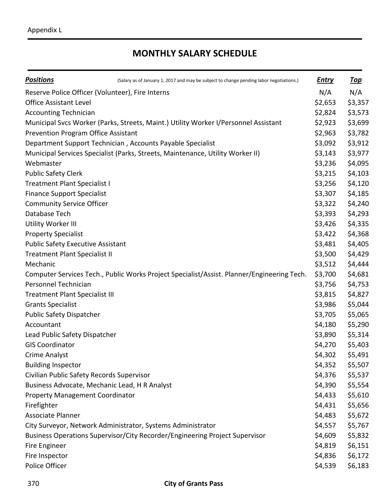# **MONTHLY SALARY SCHEDULE**

| <b>Positions</b>                          | (Salary as of January 1, 2017 and may be subject to change pending labor negotiations.)    | <b>Entry</b> | <u>Top</u> |
|-------------------------------------------|--------------------------------------------------------------------------------------------|--------------|------------|
|                                           | Reserve Police Officer (Volunteer), Fire Interns                                           | N/A          | N/A        |
| <b>Office Assistant Level</b>             |                                                                                            | \$2,653      | \$3,357    |
| <b>Accounting Technician</b>              |                                                                                            | \$2,824      | \$3,573    |
|                                           | Municipal Svcs Worker (Parks, Streets, Maint.) Utility Worker I/Personnel Assistant        | \$2,923      | \$3,699    |
| Prevention Program Office Assistant       |                                                                                            | \$2,963      | \$3,782    |
|                                           | Department Support Technician, Accounts Payable Specialist                                 | \$3,092      | \$3,912    |
|                                           | Municipal Services Specialist (Parks, Streets, Maintenance, Utility Worker II)             | \$3,143      | \$3,977    |
| Webmaster                                 |                                                                                            | \$3,236      | \$4,095    |
| <b>Public Safety Clerk</b>                |                                                                                            | \$3,215      | \$4,103    |
| <b>Treatment Plant Specialist I</b>       |                                                                                            | \$3,256      | \$4,120    |
| <b>Finance Support Specialist</b>         |                                                                                            | \$3,307      | \$4,185    |
| <b>Community Service Officer</b>          |                                                                                            | \$3,322      | \$4,240    |
| Database Tech                             |                                                                                            | \$3,393      | \$4,293    |
| Utility Worker III                        |                                                                                            | \$3,426      | \$4,335    |
| <b>Property Specialist</b>                |                                                                                            | \$3,422      | \$4,368    |
| <b>Public Safety Executive Assistant</b>  |                                                                                            | \$3,481      | \$4,405    |
| <b>Treatment Plant Specialist II</b>      |                                                                                            | \$3,500      | \$4,429    |
| Mechanic                                  |                                                                                            | \$3,512      | \$4,444    |
|                                           | Computer Services Tech., Public Works Project Specialist/Assist. Planner/Engineering Tech. | \$3,700      | \$4,681    |
| Personnel Technician                      |                                                                                            | \$3,756      | \$4,753    |
| <b>Treatment Plant Specialist III</b>     |                                                                                            | \$3,815      | \$4,827    |
| <b>Grants Specialist</b>                  |                                                                                            | \$3,986      | \$5,044    |
| Public Safety Dispatcher                  |                                                                                            | \$3,705      | \$5,065    |
| Accountant                                |                                                                                            | \$4,180      | \$5,290    |
| Lead Public Safety Dispatcher             |                                                                                            | \$3,890      | \$5,314    |
| <b>GIS Coordinator</b>                    |                                                                                            | \$4,270      | \$5,403    |
| Crime Analyst                             |                                                                                            | \$4,302      | \$5,491    |
| <b>Building Inspector</b>                 |                                                                                            | \$4,352      | \$5,507    |
| Civilian Public Safety Records Supervisor |                                                                                            | \$4,376      | \$5,537    |
|                                           | Business Advocate, Mechanic Lead, H R Analyst                                              | \$4,390      | \$5,554    |
| <b>Property Management Coordinator</b>    |                                                                                            | \$4,433      | \$5,610    |
| Firefighter                               |                                                                                            | \$4,431      | \$5,656    |
| Associate Planner                         |                                                                                            | \$4,483      | \$5,672    |
|                                           | City Surveyor, Network Administrator, Systems Administrator                                | \$4,557      | \$5,767    |
|                                           | Business Operations Supervisor/City Recorder/Engineering Project Supervisor                | \$4,609      | \$5,832    |
| Fire Engineer                             |                                                                                            | \$4,819      | \$6,151    |
| Fire Inspector                            |                                                                                            | \$4,836      | \$6,172    |
| Police Officer                            |                                                                                            | \$4,539      | \$6,183    |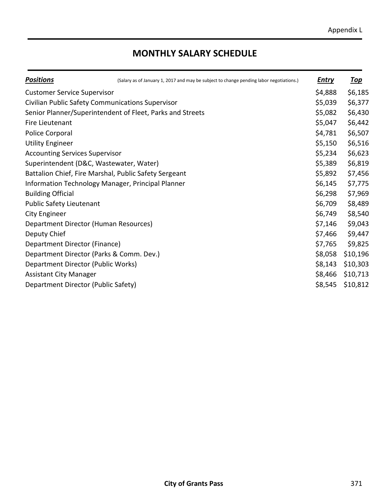# **MONTHLY SALARY SCHEDULE**

| <b>Positions</b>                                      | (Salary as of January 1, 2017 and may be subject to change pending labor negotiations.) | <b>Entry</b> | <u>Top</u> |
|-------------------------------------------------------|-----------------------------------------------------------------------------------------|--------------|------------|
| <b>Customer Service Supervisor</b>                    |                                                                                         | \$4,888      | \$6,185    |
| Civilian Public Safety Communications Supervisor      |                                                                                         | \$5,039      | \$6,377    |
|                                                       | Senior Planner/Superintendent of Fleet, Parks and Streets                               | \$5,082      | \$6,430    |
| Fire Lieutenant                                       |                                                                                         | \$5,047      | \$6,442    |
| Police Corporal                                       |                                                                                         | \$4,781      | \$6,507    |
| <b>Utility Engineer</b>                               |                                                                                         | \$5,150      | \$6,516    |
| <b>Accounting Services Supervisor</b>                 |                                                                                         | \$5,234      | \$6,623    |
| Superintendent (D&C, Wastewater, Water)               |                                                                                         | \$5,389      | \$6,819    |
| Battalion Chief, Fire Marshal, Public Safety Sergeant |                                                                                         | \$5,892      | \$7,456    |
| Information Technology Manager, Principal Planner     |                                                                                         | \$6,145      | \$7,775    |
| <b>Building Official</b>                              |                                                                                         | \$6,298      | \$7,969    |
| Public Safety Lieutenant                              |                                                                                         | \$6,709      | \$8,489    |
| <b>City Engineer</b>                                  |                                                                                         | \$6,749      | \$8,540    |
| Department Director (Human Resources)                 |                                                                                         | \$7,146      | \$9,043    |
| Deputy Chief                                          |                                                                                         | \$7,466      | \$9,447    |
| Department Director (Finance)                         |                                                                                         | \$7,765      | \$9,825    |
| Department Director (Parks & Comm. Dev.)              |                                                                                         | \$8,058      | \$10,196   |
| Department Director (Public Works)                    |                                                                                         | \$8,143      | \$10,303   |
| <b>Assistant City Manager</b>                         |                                                                                         | \$8,466      | \$10,713   |
| Department Director (Public Safety)                   |                                                                                         | \$8,545      | \$10,812   |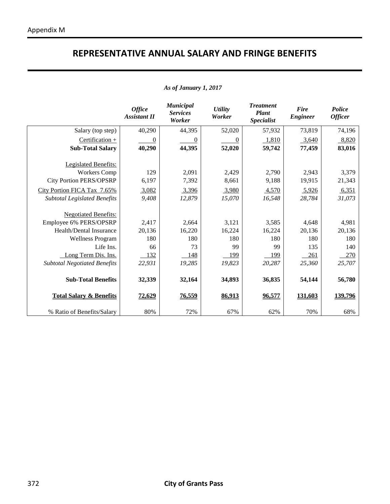# **REPRESENTATIVE ANNUAL SALARY AND FRINGE BENEFITS**

|  |  | As of January 1, 2017 |  |  |
|--|--|-----------------------|--|--|
|--|--|-----------------------|--|--|

|                                     | <b>Office</b><br><b>Assistant II</b> | <b>Municipal</b><br><b>Services</b><br>Worker | <b>Utility</b><br>Worker | <b>Treatment</b><br><b>Plant</b><br><b>Specialist</b> | <b>Fire</b><br><b>Engineer</b> | Police<br><b>Officer</b> |
|-------------------------------------|--------------------------------------|-----------------------------------------------|--------------------------|-------------------------------------------------------|--------------------------------|--------------------------|
| Salary (top step)                   | 40,290                               | 44,395                                        | 52,020                   | 57,932                                                | 73,819                         | 74,196                   |
| Certification +                     | $\theta$                             | $\theta$                                      | 0                        | 1,810                                                 | 3,640                          | 8,820                    |
| <b>Sub-Total Salary</b>             | 40,290                               | 44,395                                        | 52,020                   | 59,742                                                | 77,459                         | 83,016                   |
| Legislated Benefits:                |                                      |                                               |                          |                                                       |                                |                          |
| <b>Workers Comp</b>                 | 129                                  | 2,091                                         | 2,429                    | 2,790                                                 | 2,943                          | 3,379                    |
| <b>City Portion PERS/OPSRP</b>      | 6,197                                | 7,392                                         | 8,661                    | 9,188                                                 | 19,915                         | 21,343                   |
| City Portion FICA Tax 7.65%         | 3,082                                | 3,396                                         | 3,980                    | 4,570                                                 | 5,926                          | 6,351                    |
| <b>Subtotal Legislated Benefits</b> | 9,408                                | 12,879                                        | 15,070                   | 16,548                                                | 28,784                         | 31,073                   |
| <b>Negotiated Benefits:</b>         |                                      |                                               |                          |                                                       |                                |                          |
| Employee 6% PERS/OPSRP              | 2,417                                | 2,664                                         | 3,121                    | 3,585                                                 | 4,648                          | 4,981                    |
| Health/Dental Insurance             | 20,136                               | 16,220                                        | 16,224                   | 16,224                                                | 20,136                         | 20,136                   |
| <b>Wellness Program</b>             | 180<br>66                            | 180<br>73                                     | 180<br>99                | 180<br>99                                             | 180                            | 180                      |
| Life Ins.                           |                                      |                                               |                          |                                                       | 135                            | 140                      |
| Long Term Dis. Ins.                 | 132<br>22,931                        | 148<br>19,285                                 | 199<br>19,823            | 199<br>20,287                                         | 261<br>25,360                  | <u>270</u><br>25,707     |
| <b>Subtotal Negotiated Benefits</b> |                                      |                                               |                          |                                                       |                                |                          |
| <b>Sub-Total Benefits</b>           | 32,339                               | 32,164                                        | 34,893                   | 36,835                                                | 54,144                         | 56,780                   |
| <b>Total Salary &amp; Benefits</b>  | 72,629                               | 76,559                                        | 86,913                   | 96,577                                                | 131,603                        | 139,796                  |
| % Ratio of Benefits/Salary          | 80%                                  | 72%                                           | 67%                      | 62%                                                   | 70%                            | 68%                      |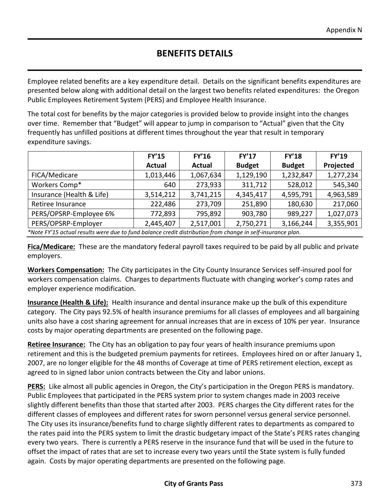## **BENEFITS DETAILS**

Employee related benefits are a key expenditure detail. Details on the significant benefits expenditures are presented below along with additional detail on the largest two benefits related expenditures: the Oregon Public Employees Retirement System (PERS) and Employee Health Insurance.

The total cost for benefits by the major categories is provided below to provide insight into the changes over time. Remember that "Budget" will appear to jump in comparison to "Actual" given that the City frequently has unfilled positions at different times throughout the year that result in temporary expenditure savings.

| <b>FY'15</b>  | <b>FY'16</b>  | <b>FY'17</b>  | <b>FY'18</b>  | <b>FY'19</b> |
|---------------|---------------|---------------|---------------|--------------|
| <b>Actual</b> | <b>Actual</b> | <b>Budget</b> | <b>Budget</b> | Projected    |
| 1,013,446     | 1,067,634     | 1,129,190     | 1,232,847     | 1,277,234    |
| 640           | 273,933       | 311,712       | 528,012       | 545,340      |
| 3,514,212     | 3,741,215     | 4,345,417     | 4,595,791     | 4,963,589    |
| 222,486       | 273,709       | 251,890       | 180,630       | 217,060      |
| 772,893       | 795,892       | 903,780       | 989,227       | 1,027,073    |
| 2,445,407     | 2,517,001     | 2,750,271     | 3,166,244     | 3,355,901    |
|               |               |               |               |              |

*\*Note FY'15 actual results were due to fund balance credit distribution from change in self-insurance plan.* 

**Fica/Medicare:** These are the mandatory federal payroll taxes required to be paid by all public and private employers.

**Workers Compensation:** The City participates in the City County Insurance Services self-insured pool for workers compensation claims. Charges to departments fluctuate with changing worker's comp rates and employer experience modification.

**Insurance (Health & Life):** Health insurance and dental insurance make up the bulk of this expenditure category. The City pays 92.5% of health insurance premiums for all classes of employees and all bargaining units also have a cost sharing agreement for annual increases that are in excess of 10% per year. Insurance costs by major operating departments are presented on the following page.

**Retiree Insurance:** The City has an obligation to pay four years of health insurance premiums upon retirement and this is the budgeted premium payments for retirees. Employees hired on or after January 1, 2007, are no longer eligible for the 48 months of Coverage at time of PERS retirement election, except as agreed to in signed labor union contracts between the City and labor unions.

**PERS:** Like almost all public agencies in Oregon, the City's participation in the Oregon PERS is mandatory. Public Employees that participated in the PERS system prior to system changes made in 2003 receive slightly different benefits than those that started after 2003. PERS charges the City different rates for the different classes of employees and different rates for sworn personnel versus general service personnel. The City uses its insurance/benefits fund to charge slightly different rates to departments as compared to the rates paid into the PERS system to limit the drastic budgetary impact of the State's PERS rates changing every two years. There is currently a PERS reserve in the insurance fund that will be used in the future to offset the impact of rates that are set to increase every two years until the State system is fully funded again. Costs by major operating departments are presented on the following page.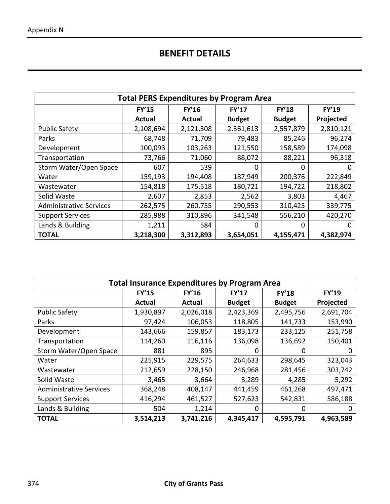# **BENEFIT DETAILS**

| <b>Total PERS Expenditures by Program Area</b> |              |              |               |               |              |  |  |
|------------------------------------------------|--------------|--------------|---------------|---------------|--------------|--|--|
|                                                | <b>FY'15</b> | <b>FY'16</b> | <b>FY'17</b>  | <b>FY'18</b>  | <b>FY'19</b> |  |  |
|                                                | Actual       | Actual       | <b>Budget</b> | <b>Budget</b> | Projected    |  |  |
| <b>Public Safety</b>                           | 2,108,694    | 2,121,308    | 2,361,613     | 2,557,879     | 2,810,121    |  |  |
| Parks                                          | 68,748       | 71,709       | 79,483        | 85,246        | 96,274       |  |  |
| Development                                    | 100,093      | 103,263      | 121,550       | 158,589       | 174,098      |  |  |
| Transportation                                 | 73,766       | 71,060       | 88,072        | 88,221        | 96,318       |  |  |
| Storm Water/Open Space                         | 607          | 539          | 0             | 0             | 0            |  |  |
| Water                                          | 159,193      | 194,408      | 187,949       | 200,376       | 222,849      |  |  |
| Wastewater                                     | 154,818      | 175,518      | 180,721       | 194,722       | 218,802      |  |  |
| Solid Waste                                    | 2,607        | 2,853        | 2,562         | 3,803         | 4,467        |  |  |
| <b>Administrative Services</b>                 | 262,575      | 260,755      | 290,553       | 310,425       | 339,775      |  |  |
| <b>Support Services</b>                        | 285,988      | 310,896      | 341,548       | 556,210       | 420,270      |  |  |
| Lands & Building                               | 1,211        | 584          | 0             | 0             | 0            |  |  |
| <b>TOTAL</b>                                   | 3,218,300    | 3,312,893    | 3,654,051     | 4,155,471     | 4,382,974    |  |  |

| <b>Total Insurance Expenditures by Program Area</b> |               |               |               |               |              |  |  |
|-----------------------------------------------------|---------------|---------------|---------------|---------------|--------------|--|--|
|                                                     | <b>FY'15</b>  | <b>FY'16</b>  | <b>FY'17</b>  | <b>FY'18</b>  | <b>FY'19</b> |  |  |
|                                                     | <b>Actual</b> | <b>Actual</b> | <b>Budget</b> | <b>Budget</b> | Projected    |  |  |
| <b>Public Safety</b>                                | 1,930,897     | 2,026,018     | 2,423,369     | 2,495,756     | 2,691,704    |  |  |
| Parks                                               | 97,424        | 106,053       | 118,805       | 141,733       | 153,990      |  |  |
| Development                                         | 143,666       | 159,857       | 183,173       | 233,125       | 251,758      |  |  |
| Transportation                                      | 114,260       | 116,116       | 136,098       | 136,692       | 150,401      |  |  |
| Storm Water/Open Space                              | 881           | 895           | 0             | 0             |              |  |  |
| Water                                               | 225,915       | 229,575       | 264,633       | 298,645       | 323,043      |  |  |
| Wastewater                                          | 212,659       | 228,150       | 246,968       | 281,456       | 303,742      |  |  |
| Solid Waste                                         | 3,465         | 3,664         | 3,289         | 4,285         | 5,292        |  |  |
| <b>Administrative Services</b>                      | 368,248       | 408,147       | 441,459       | 461,268       | 497,471      |  |  |
| <b>Support Services</b>                             | 416,294       | 461,527       | 527,623       | 542,831       | 586,188      |  |  |
| Lands & Building                                    | 504           | 1,214         | 0             | 0             |              |  |  |
| <b>TOTAL</b>                                        | 3,514,213     | 3,741,216     | 4,345,417     | 4,595,791     | 4,963,589    |  |  |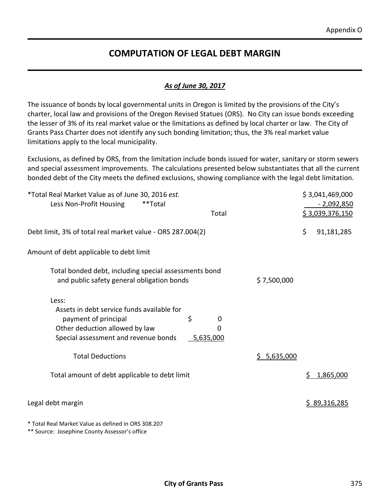### **COMPUTATION OF LEGAL DEBT MARGIN**

#### *As of June 30, 2017*

The issuance of bonds by local governmental units in Oregon is limited by the provisions of the City's charter, local law and provisions of the Oregon Revised Statues (ORS). No City can issue bonds exceeding the lesser of 3% of its real market value or the limitations as defined by local charter or law. The City of Grants Pass Charter does not identify any such bonding limitation; thus, the 3% real market value limitations apply to the local municipality.

Exclusions, as defined by ORS, from the limitation include bonds issued for water, sanitary or storm sewers and special assessment improvements. The calculations presented below substantiates that all the current bonded debt of the City meets the defined exclusions, showing compliance with the legal debt limitation.

| *Total Real Market Value as of June 30, 2016 est.<br>Less Non-Profit Housing<br>**Total                                                                     | Total                  |             |    | \$3,041,469,000<br><u>- 2,092,850</u><br>\$3,039,376,150 |
|-------------------------------------------------------------------------------------------------------------------------------------------------------------|------------------------|-------------|----|----------------------------------------------------------|
| Debt limit, 3% of total real market value - ORS 287.004(2)                                                                                                  |                        |             | \$ | 91,181,285                                               |
| Amount of debt applicable to debt limit                                                                                                                     |                        |             |    |                                                          |
| Total bonded debt, including special assessments bond<br>and public safety general obligation bonds                                                         |                        | \$7,500,000 |    |                                                          |
| Less:<br>Assets in debt service funds available for<br>\$<br>payment of principal<br>Other deduction allowed by law<br>Special assessment and revenue bonds | 0<br>O<br>$-5,635,000$ |             |    |                                                          |
| <b>Total Deductions</b>                                                                                                                                     |                        | \$5,635,000 |    |                                                          |
| Total amount of debt applicable to debt limit                                                                                                               |                        |             | S. | 1,865,000                                                |
| Legal debt margin                                                                                                                                           |                        |             |    | \$89,316,285                                             |
| * Total Real Market Value as defined in ORS 308.207                                                                                                         |                        |             |    |                                                          |

\*\* Source: Josephine County Assessor's office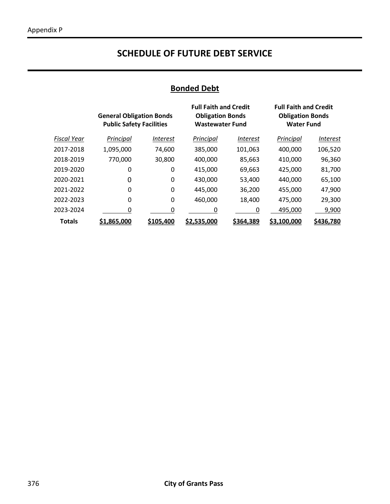### **SCHEDULE OF FUTURE DEBT SERVICE**

# **Bonded Debt**

|                    | <b>General Obligation Bonds</b><br><b>Public Safety Facilities</b> |                        | <b>Full Faith and Credit</b><br><b>Obligation Bonds</b><br><b>Wastewater Fund</b> |                        | <b>Full Faith and Credit</b><br><b>Obligation Bonds</b><br><b>Water Fund</b> |                 |
|--------------------|--------------------------------------------------------------------|------------------------|-----------------------------------------------------------------------------------|------------------------|------------------------------------------------------------------------------|-----------------|
| <b>Fiscal Year</b> | Principal                                                          | <i><b>Interest</b></i> | Principal                                                                         | <i><b>Interest</b></i> | Principal                                                                    | <i>Interest</i> |
| 2017-2018          | 1,095,000                                                          | 74,600                 | 385,000                                                                           | 101,063                | 400,000                                                                      | 106,520         |
| 2018-2019          | 770,000                                                            | 30,800                 | 400,000                                                                           | 85,663                 | 410,000                                                                      | 96,360          |
| 2019-2020          | 0                                                                  | 0                      | 415,000                                                                           | 69,663                 | 425,000                                                                      | 81,700          |
| 2020-2021          | 0                                                                  | 0                      | 430,000                                                                           | 53,400                 | 440,000                                                                      | 65,100          |
| 2021-2022          | 0                                                                  | 0                      | 445,000                                                                           | 36,200                 | 455,000                                                                      | 47,900          |
| 2022-2023          | 0                                                                  | 0                      | 460,000                                                                           | 18,400                 | 475,000                                                                      | 29,300          |
| 2023-2024          | 0                                                                  |                        | 0                                                                                 |                        | 495,000                                                                      | 9,900           |
| <b>Totals</b>      | \$1,865,000                                                        | <u>\$105,400</u>       | \$2,535,000                                                                       | <u>\$364,389</u>       | \$3,100,000                                                                  | \$436,780       |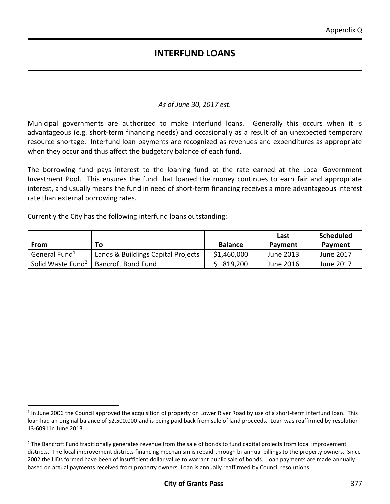#### *As of June 30, 2017 est.*

Municipal governments are authorized to make interfund loans. Generally this occurs when it is advantageous (e.g. short-term financing needs) and occasionally as a result of an unexpected temporary resource shortage. Interfund loan payments are recognized as revenues and expenditures as appropriate when they occur and thus affect the budgetary balance of each fund.

The borrowing fund pays interest to the loaning fund at the rate earned at the Local Government Investment Pool. This ensures the fund that loaned the money continues to earn fair and appropriate interest, and usually means the fund in need of short-term financing receives a more advantageous interest rate than external borrowing rates.

Currently the City has the following interfund loans outstanding:

 $\overline{a}$ 

| From                          | Τo                                 | <b>Balance</b> | Last<br>Payment | <b>Scheduled</b><br>Payment |
|-------------------------------|------------------------------------|----------------|-----------------|-----------------------------|
| General Fund <sup>1</sup>     | Lands & Buildings Capital Projects | \$1,460,000    | June 2013       | June 2017                   |
| Solid Waste Fund <sup>2</sup> | <b>Bancroft Bond Fund</b>          | 819,200        | June 2016       | June 2017                   |

<sup>&</sup>lt;sup>1</sup> In June 2006 the Council approved the acquisition of property on Lower River Road by use of a short-term interfund loan. This loan had an original balance of \$2,500,000 and is being paid back from sale of land proceeds. Loan was reaffirmed by resolution 13-6091 in June 2013.

<sup>&</sup>lt;sup>2</sup> The Bancroft Fund traditionally generates revenue from the sale of bonds to fund capital projects from local improvement districts. The local improvement districts financing mechanism is repaid through bi-annual billings to the property owners. Since 2002 the LIDs formed have been of insufficient dollar value to warrant public sale of bonds. Loan payments are made annually based on actual payments received from property owners. Loan is annually reaffirmed by Council resolutions.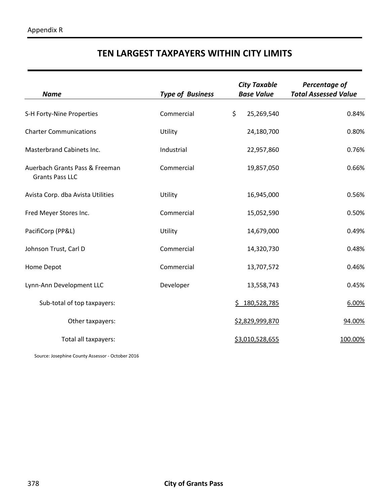# **TEN LARGEST TAXPAYERS WITHIN CITY LIMITS**

| <b>Name</b>                                              | <b>Type of Business</b> | <b>City Taxable</b><br><b>Base Value</b> | Percentage of<br><b>Total Assessed Value</b> |  |
|----------------------------------------------------------|-------------------------|------------------------------------------|----------------------------------------------|--|
| S-H Forty-Nine Properties                                | Commercial              | \$<br>25,269,540                         | 0.84%                                        |  |
| <b>Charter Communications</b>                            | Utility                 | 24,180,700                               | 0.80%                                        |  |
| Masterbrand Cabinets Inc.                                | Industrial              | 22,957,860                               | 0.76%                                        |  |
| Auerbach Grants Pass & Freeman<br><b>Grants Pass LLC</b> | Commercial              | 19,857,050                               | 0.66%                                        |  |
| Avista Corp. dba Avista Utilities                        | Utility                 | 16,945,000                               | 0.56%                                        |  |
| Fred Meyer Stores Inc.                                   | Commercial              | 15,052,590                               | 0.50%                                        |  |
| PacifiCorp (PP&L)                                        | Utility                 | 14,679,000                               | 0.49%                                        |  |
| Johnson Trust, Carl D                                    | Commercial              | 14,320,730                               | 0.48%                                        |  |
| Home Depot                                               | Commercial              | 13,707,572                               | 0.46%                                        |  |
| Lynn-Ann Development LLC                                 | Developer               | 13,558,743                               | 0.45%                                        |  |
| Sub-total of top taxpayers:                              |                         | \$180,528,785                            | 6.00%                                        |  |
| Other taxpayers:                                         |                         | \$2,829,999,870                          | 94.00%                                       |  |
| Total all taxpayers:                                     |                         | \$3,010,528,655                          | 100.00%                                      |  |

Source: Josephine County Assessor - October 2016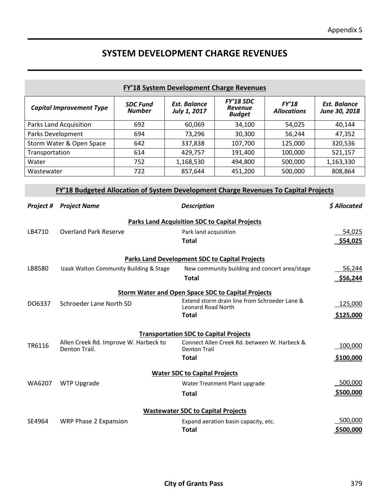### **SYSTEM DEVELOPMENT CHARGE REVENUES**

| FY'18 System Development Charge Revenues                    |                                                                                     |                                  |                                                           |                                                                                            |                             |                                      |  |
|-------------------------------------------------------------|-------------------------------------------------------------------------------------|----------------------------------|-----------------------------------------------------------|--------------------------------------------------------------------------------------------|-----------------------------|--------------------------------------|--|
|                                                             | <b>Capital Improvement Type</b>                                                     | <b>SDC Fund</b><br><b>Number</b> | <b>Est. Balance</b><br>July 1, 2017                       | <b>FY'18 SDC</b><br><b>Revenue</b><br><b>Budget</b>                                        | FY'18<br><b>Allocations</b> | <b>Est. Balance</b><br>June 30, 2018 |  |
| Parks Land Acquisition<br>692<br>60,069<br>34,100<br>54,025 |                                                                                     |                                  |                                                           |                                                                                            | 40,144                      |                                      |  |
| Parks Development                                           |                                                                                     | 694                              | 73,296                                                    | 30,300                                                                                     | 56,244                      | 47,352                               |  |
|                                                             | Storm Water & Open Space                                                            | 642                              | 337,838                                                   | 107,700                                                                                    | 125,000                     | 320,536                              |  |
| Transportation                                              |                                                                                     | 614                              | 429,757                                                   | 191,400                                                                                    | 100,000                     | 521,157                              |  |
| Water                                                       |                                                                                     | 752                              | 1,168,530                                                 | 494,800                                                                                    | 500,000                     | 1,163,330                            |  |
| Wastewater                                                  |                                                                                     | 722                              | 857,644                                                   | 451,200                                                                                    | 500,000                     | 808,864                              |  |
|                                                             | FY'18 Budgeted Allocation of System Development Charge Revenues To Capital Projects |                                  |                                                           |                                                                                            |                             |                                      |  |
| Project #                                                   | <b>Project Name</b>                                                                 |                                  | <b>Description</b>                                        |                                                                                            |                             | \$ Allocated                         |  |
|                                                             |                                                                                     |                                  | <b>Parks Land Acquisition SDC to Capital Projects</b>     |                                                                                            |                             |                                      |  |
| LB4710                                                      | <b>Overland Park Reserve</b>                                                        |                                  | Park land acquisition                                     |                                                                                            |                             | 54,025                               |  |
|                                                             |                                                                                     |                                  |                                                           | \$54,025<br><b>Total</b>                                                                   |                             |                                      |  |
|                                                             |                                                                                     |                                  |                                                           |                                                                                            |                             |                                      |  |
|                                                             |                                                                                     |                                  | <b>Parks Land Development SDC to Capital Projects</b>     |                                                                                            |                             |                                      |  |
| LB8580                                                      | Izaak Walton Community Building & Stage                                             |                                  |                                                           | New community building and concert area/stage                                              |                             | 56,244                               |  |
| <b>Total</b>                                                |                                                                                     |                                  |                                                           |                                                                                            | \$56,244                    |                                      |  |
|                                                             |                                                                                     |                                  |                                                           |                                                                                            |                             |                                      |  |
|                                                             |                                                                                     |                                  | <b>Storm Water and Open Space SDC to Capital Projects</b> |                                                                                            |                             | 125,000                              |  |
| DO6337                                                      | Schroeder Lane North SD                                                             |                                  |                                                           | Extend storm drain line from Schroeder Lane &<br><b>Leonard Road North</b><br><b>Total</b> |                             |                                      |  |
|                                                             |                                                                                     |                                  |                                                           |                                                                                            |                             |                                      |  |
|                                                             |                                                                                     |                                  |                                                           |                                                                                            |                             |                                      |  |
| <b>Transportation SDC to Capital Projects</b>               |                                                                                     |                                  |                                                           |                                                                                            |                             |                                      |  |
| TR6116                                                      | Allen Creek Rd. Improve W. Harbeck to<br>Denton Trail.                              |                                  | <b>Denton Trail</b>                                       | Connect Allen Creek Rd. between W. Harbeck &                                               |                             | 100,000                              |  |
|                                                             |                                                                                     |                                  | <b>Total</b>                                              |                                                                                            |                             | \$100,000                            |  |
|                                                             |                                                                                     |                                  |                                                           |                                                                                            |                             |                                      |  |
| <b>Water SDC to Capital Projects</b>                        |                                                                                     |                                  |                                                           |                                                                                            |                             |                                      |  |
| WA6207<br><b>WTP Upgrade</b>                                |                                                                                     |                                  |                                                           | Water Treatment Plant upgrade                                                              |                             |                                      |  |
|                                                             |                                                                                     |                                  | <b>Total</b>                                              |                                                                                            |                             | \$500,000                            |  |
| <b>Wastewater SDC to Capital Projects</b>                   |                                                                                     |                                  |                                                           |                                                                                            |                             |                                      |  |
| SE4964                                                      | WRP Phase 2 Expansion                                                               |                                  |                                                           | Expand aeration basin capacity, etc.                                                       |                             | 500,000                              |  |
|                                                             |                                                                                     |                                  | <b>Total</b>                                              |                                                                                            |                             |                                      |  |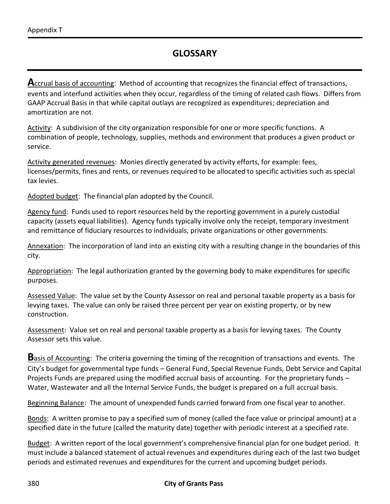Accrual basis of accounting: Method of accounting that recognizes the financial effect of transactions, events and interfund activities when they occur, regardless of the timing of related cash flows. Differs from GAAP Accrual Basis in that while capital outlays are recognized as expenditures; depreciation and amortization are not.

Activity: A subdivision of the city organization responsible for one or more specific functions. A combination of people, technology, supplies, methods and environment that produces a given product or service.

Activity generated revenues: Monies directly generated by activity efforts, for example: fees, licenses/permits, fines and rents, or revenues required to be allocated to specific activities such as special tax levies.

Adopted budget: The financial plan adopted by the Council.

Agency fund: Funds used to report resources held by the reporting government in a purely custodial capacity (assets equal liabilities). Agency funds typically involve only the receipt, temporary investment and remittance of fiduciary resources to individuals, private organizations or other governments.

Annexation: The incorporation of land into an existing city with a resulting change in the boundaries of this city.

Appropriation: The legal authorization granted by the governing body to make expenditures for specific purposes.

Assessed Value: The value set by the County Assessor on real and personal taxable property as a basis for levying taxes. The value can only be raised three percent per year on existing property, or by new construction.

Assessment: Value set on real and personal taxable property as a basis for levying taxes. The County Assessor sets this value.

**B**asis of Accounting: The criteria governing the timing of the recognition of transactions and events. The City's budget for governmental type funds – General Fund, Special Revenue Funds, Debt Service and Capital Projects Funds are prepared using the modified accrual basis of accounting. For the proprietary funds – Water, Wastewater and all the Internal Service Funds, the budget is prepared on a full accrual basis.

Beginning Balance: The amount of unexpended funds carried forward from one fiscal year to another.

Bonds: A written promise to pay a specified sum of money (called the face value or principal amount) at a specified date in the future (called the maturity date) together with periodic interest at a specified rate.

Budget: A written report of the local government's comprehensive financial plan for one budget period. It must include a balanced statement of actual revenues and expenditures during each of the last two budget periods and estimated revenues and expenditures for the current and upcoming budget periods.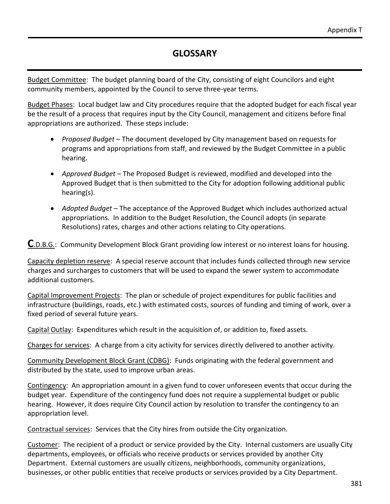Budget Committee: The budget planning board of the City, consisting of eight Councilors and eight community members, appointed by the Council to serve three-year terms.

Budget Phases: Local budget law and City procedures require that the adopted budget for each fiscal year be the result of a process that requires input by the City Council, management and citizens before final appropriations are authorized. These steps include:

- *Proposed Budget* The document developed by City management based on requests for programs and appropriations from staff, and reviewed by the Budget Committee in a public hearing.
- *Approved Budget* The Proposed Budget is reviewed, modified and developed into the Approved Budget that is then submitted to the City for adoption following additional public hearing(s).
- *Adopted Budget* The acceptance of the Approved Budget which includes authorized actual appropriations. In addition to the Budget Resolution, the Council adopts (in separate Resolutions) rates, charges and other actions relating to City operations.

**C**.D.B.G.: Community Development Block Grant providing low interest or no interest loans for housing.

Capacity depletion reserve: A special reserve account that includes funds collected through new service charges and surcharges to customers that will be used to expand the sewer system to accommodate additional customers.

Capital Improvement Projects: The plan or schedule of project expenditures for public facilities and infrastructure (buildings, roads, etc.) with estimated costs, sources of funding and timing of work, over a fixed period of several future years.

Capital Outlay: Expenditures which result in the acquisition of, or addition to, fixed assets.

Charges for services: A charge from a city activity for services directly delivered to another activity.

Community Development Block Grant (CDBG): Funds originating with the federal government and distributed by the state, used to improve urban areas.

Contingency: An appropriation amount in a given fund to cover unforeseen events that occur during the budget year. Expenditure of the contingency fund does not require a supplemental budget or public hearing. However, it does require City Council action by resolution to transfer the contingency to an appropriation level.

Contractual services: Services that the City hires from outside the City organization.

Customer: The recipient of a product or service provided by the City. Internal customers are usually City departments, employees, or officials who receive products or services provided by another City Department. External customers are usually citizens, neighborhoods, community organizations, businesses, or other public entities that receive products or services provided by a City Department.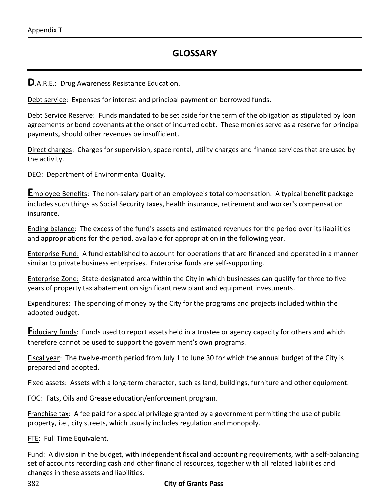**D**.A.R.E.: Drug Awareness Resistance Education.

Debt service: Expenses for interest and principal payment on borrowed funds.

Debt Service Reserve: Funds mandated to be set aside for the term of the obligation as stipulated by loan agreements or bond covenants at the onset of incurred debt. These monies serve as a reserve for principal payments, should other revenues be insufficient.

Direct charges: Charges for supervision, space rental, utility charges and finance services that are used by the activity.

DEQ: Department of Environmental Quality.

**E**mployee Benefits: The non-salary part of an employee's total compensation. A typical benefit package includes such things as Social Security taxes, health insurance, retirement and worker's compensation insurance.

Ending balance: The excess of the fund's assets and estimated revenues for the period over its liabilities and appropriations for the period, available for appropriation in the following year.

Enterprise Fund: A fund established to account for operations that are financed and operated in a manner similar to private business enterprises. Enterprise funds are self-supporting.

Enterprise Zone: State-designated area within the City in which businesses can qualify for three to five years of property tax abatement on significant new plant and equipment investments.

Expenditures: The spending of money by the City for the programs and projects included within the adopted budget.

**Fiduciary funds:** Funds used to report assets held in a trustee or agency capacity for others and which therefore cannot be used to support the government's own programs.

Fiscal year: The twelve-month period from July 1 to June 30 for which the annual budget of the City is prepared and adopted.

Fixed assets: Assets with a long-term character, such as land, buildings, furniture and other equipment.

FOG: Fats, Oils and Grease education/enforcement program.

Franchise tax: A fee paid for a special privilege granted by a government permitting the use of public property, i.e., city streets, which usually includes regulation and monopoly.

FTE: Full Time Equivalent.

Fund: A division in the budget, with independent fiscal and accounting requirements, with a self-balancing set of accounts recording cash and other financial resources, together with all related liabilities and changes in these assets and liabilities.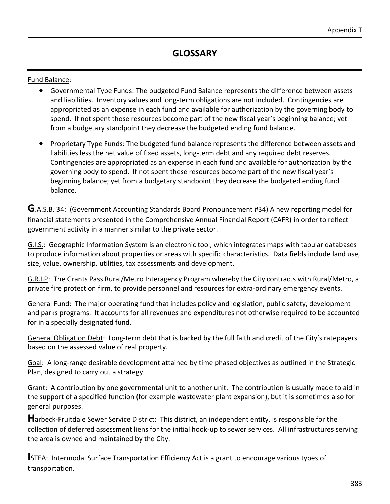Fund Balance:

- Governmental Type Funds: The budgeted Fund Balance represents the difference between assets and liabilities. Inventory values and long-term obligations are not included. Contingencies are appropriated as an expense in each fund and available for authorization by the governing body to spend. If not spent those resources become part of the new fiscal year's beginning balance; yet from a budgetary standpoint they decrease the budgeted ending fund balance.
- Proprietary Type Funds: The budgeted fund balance represents the difference between assets and liabilities less the net value of fixed assets, long-term debt and any required debt reserves. Contingencies are appropriated as an expense in each fund and available for authorization by the governing body to spend. If not spent these resources become part of the new fiscal year's beginning balance; yet from a budgetary standpoint they decrease the budgeted ending fund balance.

**G**.A.S.B. 34: (Government Accounting Standards Board Pronouncement #34) A new reporting model for financial statements presented in the Comprehensive Annual Financial Report (CAFR) in order to reflect government activity in a manner similar to the private sector.

G.I.S.: Geographic Information System is an electronic tool, which integrates maps with tabular databases to produce information about properties or areas with specific characteristics. Data fields include land use, size, value, ownership, utilities, tax assessments and development.

G.R.I.P: The Grants Pass Rural/Metro Interagency Program whereby the City contracts with Rural/Metro, a private fire protection firm, to provide personnel and resources for extra-ordinary emergency events.

General Fund: The major operating fund that includes policy and legislation, public safety, development and parks programs. It accounts for all revenues and expenditures not otherwise required to be accounted for in a specially designated fund.

General Obligation Debt: Long-term debt that is backed by the full faith and credit of the City's ratepayers based on the assessed value of real property.

Goal: A long-range desirable development attained by time phased objectives as outlined in the Strategic Plan, designed to carry out a strategy.

Grant: A contribution by one governmental unit to another unit. The contribution is usually made to aid in the support of a specified function (for example wastewater plant expansion), but it is sometimes also for general purposes.

**H**arbeck-Fruitdale Sewer Service District: This district, an independent entity, is responsible for the collection of deferred assessment liens for the initial hook-up to sewer services. All infrastructures serving the area is owned and maintained by the City.

**ISTEA: Intermodal Surface Transportation Efficiency Act is a grant to encourage various types of** transportation.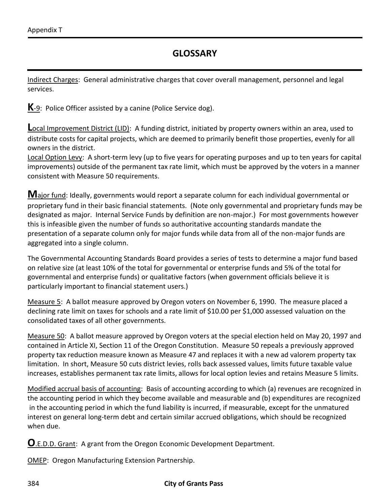Indirect Charges: General administrative charges that cover overall management, personnel and legal services.

**K**-9: Police Officer assisted by a canine (Police Service dog).

**Local Improvement District (LID):** A funding district, initiated by property owners within an area, used to distribute costs for capital projects, which are deemed to primarily benefit those properties, evenly for all owners in the district.

Local Option Levy: A short-term levy (up to five years for operating purposes and up to ten years for capital improvements) outside of the permanent tax rate limit, which must be approved by the voters in a manner consistent with Measure 50 requirements.

**M**ajor fund: Ideally, governments would report a separate column for each individual governmental or proprietary fund in their basic financial statements. (Note only governmental and proprietary funds may be designated as major. Internal Service Funds by definition are non-major.) For most governments however this is infeasible given the number of funds so authoritative accounting standards mandate the presentation of a separate column only for major funds while data from all of the non-major funds are aggregated into a single column.

The Governmental Accounting Standards Board provides a series of tests to determine a major fund based on relative size (at least 10% of the total for governmental or enterprise funds and 5% of the total for governmental and enterprise funds) or qualitative factors (when government officials believe it is particularly important to financial statement users.)

Measure 5: A ballot measure approved by Oregon voters on November 6, 1990. The measure placed a declining rate limit on taxes for schools and a rate limit of \$10.00 per \$1,000 assessed valuation on the consolidated taxes of all other governments.

Measure 50: A ballot measure approved by Oregon voters at the special election held on May 20, 1997 and contained in Article XI, Section 11 of the Oregon Constitution. Measure 50 repeals a previously approved property tax reduction measure known as Measure 47 and replaces it with a new ad valorem property tax limitation. In short, Measure 50 cuts district levies, rolls back assessed values, limits future taxable value increases, establishes permanent tax rate limits, allows for local option levies and retains Measure 5 limits.

Modified accrual basis of accounting: Basis of accounting according to which (a) revenues are recognized in the accounting period in which they become available and measurable and (b) expenditures are recognized in the accounting period in which the fund liability is incurred, if measurable, except for the unmatured interest on general long-term debt and certain similar accrued obligations, which should be recognized when due.

**O**.E.D.D. Grant: A grant from the Oregon Economic Development Department.

OMEP: Oregon Manufacturing Extension Partnership.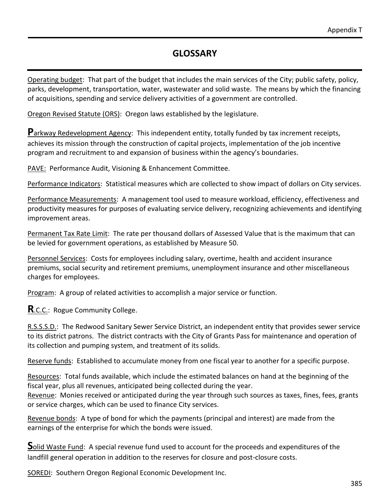Operating budget: That part of the budget that includes the main services of the City; public safety, policy, parks, development, transportation, water, wastewater and solid waste. The means by which the financing of acquisitions, spending and service delivery activities of a government are controlled.

Oregon Revised Statute (ORS): Oregon laws established by the legislature.

**P**arkway Redevelopment Agency: This independent entity, totally funded by tax increment receipts, achieves its mission through the construction of capital projects, implementation of the job incentive program and recruitment to and expansion of business within the agency's boundaries.

PAVE: Performance Audit, Visioning & Enhancement Committee.

Performance Indicators: Statistical measures which are collected to show impact of dollars on City services.

Performance Measurements: A management tool used to measure workload, efficiency, effectiveness and productivity measures for purposes of evaluating service delivery, recognizing achievements and identifying improvement areas.

Permanent Tax Rate Limit: The rate per thousand dollars of Assessed Value that is the maximum that can be levied for government operations, as established by Measure 50.

Personnel Services: Costs for employees including salary, overtime, health and accident insurance premiums, social security and retirement premiums, unemployment insurance and other miscellaneous charges for employees.

Program: A group of related activities to accomplish a major service or function.

**R.C.C.:** Rogue Community College.

R.S.S.S.D.: The Redwood Sanitary Sewer Service District, an independent entity that provides sewer service to its district patrons. The district contracts with the City of Grants Pass for maintenance and operation of its collection and pumping system, and treatment of its solids.

Reserve funds: Established to accumulate money from one fiscal year to another for a specific purpose.

Resources: Total funds available, which include the estimated balances on hand at the beginning of the fiscal year, plus all revenues, anticipated being collected during the year.

Revenue: Monies received or anticipated during the year through such sources as taxes, fines, fees, grants or service charges, which can be used to finance City services.

Revenue bonds: A type of bond for which the payments (principal and interest) are made from the earnings of the enterprise for which the bonds were issued.

**S**olid Waste Fund: A special revenue fund used to account for the proceeds and expenditures of the landfill general operation in addition to the reserves for closure and post-closure costs.

SOREDI: Southern Oregon Regional Economic Development Inc.